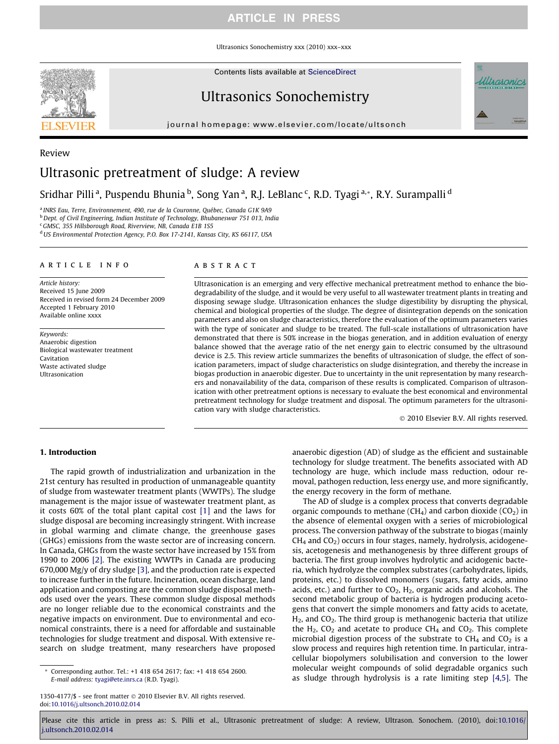Ultrasonics Sonochemistry xxx (2010) xxx–xxx

Contents lists available at [ScienceDirect](http://www.sciencedirect.com/science/journal/13504177)

# Ultrasonics Sonochemistry

journal homepage: [www.elsevier.com/locate/ultsonch](http://www.elsevier.com/locate/ultsonch)



# Review Ultrasonic pretreatment of sludge: A review

Sridhar Pilli<sup>a</sup>, Puspendu Bhunia <sup>b</sup>, Song Yan <sup>a</sup>, R.J. LeBlanc <sup>c</sup>, R.D. Tyagi a.\*, R.Y. Surampalli <sup>d</sup>

<sup>a</sup> INRS Eau, Terre, Environnement, 490, rue de la Couronne, Québec, Canada G1K 9A9 b Dept. of Civil Engineering, Indian Institute of Technology, Bhubaneswar 751 013, India  $c$ GMSC, 355 Hillsborough Road, Riverview, NB, Canada E1B 1S5 <sup>d</sup> US Environmental Protection Agency, P.O. Box 17-2141, Kansas City, KS 66117, USA

#### article info

Article history: Received 15 June 2009 Received in revised form 24 December 2009 Accepted 1 February 2010 Available online xxxx

Keywords: Anaerobic digestion Biological wastewater treatment Cavitation Waste activated sludge Ultrasonication

#### ABSTRACT

Ultrasonication is an emerging and very effective mechanical pretreatment method to enhance the biodegradability of the sludge, and it would be very useful to all wastewater treatment plants in treating and disposing sewage sludge. Ultrasonication enhances the sludge digestibility by disrupting the physical, chemical and biological properties of the sludge. The degree of disintegration depends on the sonication parameters and also on sludge characteristics, therefore the evaluation of the optimum parameters varies with the type of sonicater and sludge to be treated. The full-scale installations of ultrasonication have demonstrated that there is 50% increase in the biogas generation, and in addition evaluation of energy balance showed that the average ratio of the net energy gain to electric consumed by the ultrasound device is 2.5. This review article summarizes the benefits of ultrasonication of sludge, the effect of sonication parameters, impact of sludge characteristics on sludge disintegration, and thereby the increase in biogas production in anaerobic digester. Due to uncertainty in the unit representation by many researchers and nonavailability of the data, comparison of these results is complicated. Comparison of ultrasonication with other pretreatment options is necessary to evaluate the best economical and environmental pretreatment technology for sludge treatment and disposal. The optimum parameters for the ultrasonication vary with sludge characteristics.

- 2010 Elsevier B.V. All rights reserved.

#### 1. Introduction

The rapid growth of industrialization and urbanization in the 21st century has resulted in production of unmanageable quantity of sludge from wastewater treatment plants (WWTPs). The sludge management is the major issue of wastewater treatment plant, as it costs 60% of the total plant capital cost [\[1\]](#page-16-0) and the laws for sludge disposal are becoming increasingly stringent. With increase in global warming and climate change, the greenhouse gases (GHGs) emissions from the waste sector are of increasing concern. In Canada, GHGs from the waste sector have increased by 15% from 1990 to 2006 [\[2\]](#page-16-0). The existing WWTPs in Canada are producing 670,000 Mg/y of dry sludge [\[3\]](#page-16-0), and the production rate is expected to increase further in the future. Incineration, ocean discharge, land application and composting are the common sludge disposal methods used over the years. These common sludge disposal methods are no longer reliable due to the economical constraints and the negative impacts on environment. Due to environmental and economical constraints, there is a need for affordable and sustainable technologies for sludge treatment and disposal. With extensive research on sludge treatment, many researchers have proposed

1350-4177/\$ - see front matter © 2010 Elsevier B.V. All rights reserved. doi[:10.1016/j.ultsonch.2010.02.014](http://dx.doi.org/10.1016/j.ultsonch.2010.02.014)

anaerobic digestion (AD) of sludge as the efficient and sustainable technology for sludge treatment. The benefits associated with AD technology are huge, which include mass reduction, odour removal, pathogen reduction, less energy use, and more significantly, the energy recovery in the form of methane.

The AD of sludge is a complex process that converts degradable organic compounds to methane (CH<sub>4</sub>) and carbon dioxide (CO<sub>2</sub>) in the absence of elemental oxygen with a series of microbiological process. The conversion pathway of the substrate to biogas (mainly  $CH<sub>4</sub>$  and  $CO<sub>2</sub>$ ) occurs in four stages, namely, hydrolysis, acidogenesis, acetogenesis and methanogenesis by three different groups of bacteria. The first group involves hydrolytic and acidogenic bacteria, which hydrolyze the complex substrates (carbohydrates, lipids, proteins, etc.) to dissolved monomers (sugars, fatty acids, amino acids, etc.) and further to  $CO<sub>2</sub>$ ,  $H<sub>2</sub>$ , organic acids and alcohols. The second metabolic group of bacteria is hydrogen producing acetogens that convert the simple monomers and fatty acids to acetate,  $H<sub>2</sub>$ , and CO<sub>2</sub>. The third group is methanogenic bacteria that utilize the  $H_2$ , CO<sub>2</sub> and acetate to produce CH<sub>4</sub> and CO<sub>2</sub>. This complete microbial digestion process of the substrate to  $CH<sub>4</sub>$  and  $CO<sub>2</sub>$  is a slow process and requires high retention time. In particular, intracellular biopolymers solubilisation and conversion to the lower molecular weight compounds of solid degradable organics such as sludge through hydrolysis is a rate limiting step [\[4,5\]](#page-16-0). The



Corresponding author. Tel.: +1 418 654 2617; fax: +1 418 654 2600. E-mail address: [tyagi@ete.inrs.ca](mailto:tyagi@ete.inrs.ca) (R.D. Tyagi).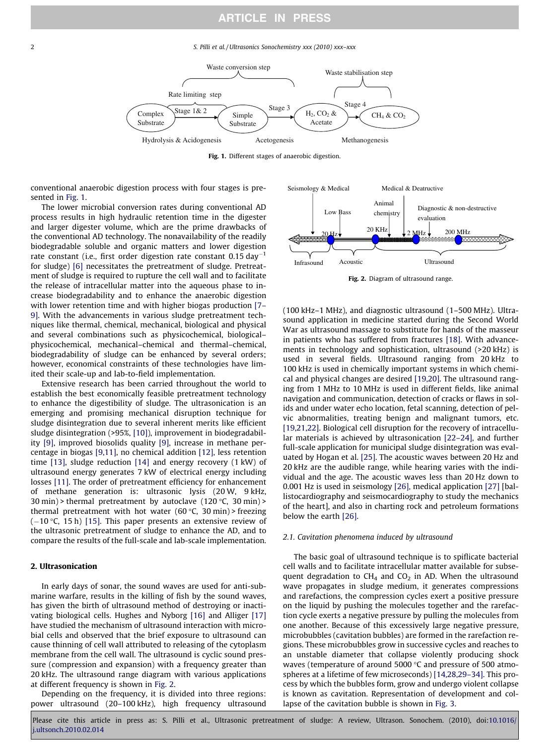2 S. Pilli et al. / Ultrasonics Sonochemistry xxx (2010) xxx–xxx



Fig. 1. Different stages of anaerobic digestion.

conventional anaerobic digestion process with four stages is presented in Fig. 1.

The lower microbial conversion rates during conventional AD process results in high hydraulic retention time in the digester and larger digester volume, which are the prime drawbacks of the conventional AD technology. The nonavailability of the readily biodegradable soluble and organic matters and lower digestion rate constant (i.e., first order digestion rate constant 0.15 day $^{\rm -1}$ for sludge) [\[6\]](#page-16-0) necessitates the pretreatment of sludge. Pretreatment of sludge is required to rupture the cell wall and to facilitate the release of intracellular matter into the aqueous phase to increase biodegradability and to enhance the anaerobic digestion with lower retention time and with higher biogas production [\[7–](#page-16-0) [9\]](#page-16-0). With the advancements in various sludge pretreatment techniques like thermal, chemical, mechanical, biological and physical and several combinations such as physicochemical, biological– physicochemical, mechanical–chemical and thermal–chemical, biodegradability of sludge can be enhanced by several orders; however, economical constraints of these technologies have limited their scale-up and lab-to-field implementation.

Extensive research has been carried throughout the world to establish the best economically feasible pretreatment technology to enhance the digestibility of sludge. The ultrasonication is an emerging and promising mechanical disruption technique for sludge disintegration due to several inherent merits like efficient sludge disintegration (>95%, [\[10\]](#page-16-0)), improvement in biodegradability [\[9\]](#page-16-0), improved biosolids quality [\[9\]](#page-16-0), increase in methane percentage in biogas [\[9,11\],](#page-16-0) no chemical addition [\[12\]](#page-16-0), less retention time [\[13\]](#page-16-0), sludge reduction [\[14\]](#page-16-0) and energy recovery (1 kW) of ultrasound energy generates 7 kW of electrical energy including losses [\[11\]](#page-16-0). The order of pretreatment efficiency for enhancement of methane generation is: ultrasonic lysis (20 W, 9 kHz, 30 min) > thermal pretreatment by autoclave (120 °C, 30 min) > thermal pretreatment with hot water (60  $\degree$ C, 30 min) > freezing ( $-10$  °C, 15 h) [\[15\]](#page-16-0). This paper presents an extensive review of the ultrasonic pretreatment of sludge to enhance the AD, and to compare the results of the full-scale and lab-scale implementation.

#### 2. Ultrasonication

In early days of sonar, the sound waves are used for anti-submarine warfare, results in the killing of fish by the sound waves, has given the birth of ultrasound method of destroying or inactivating biological cells. Hughes and Nyborg [\[16\]](#page-16-0) and Alliger [\[17\]](#page-16-0) have studied the mechanism of ultrasound interaction with microbial cells and observed that the brief exposure to ultrasound can cause thinning of cell wall attributed to releasing of the cytoplasm membrane from the cell wall. The ultrasound is cyclic sound pressure (compression and expansion) with a frequency greater than 20 kHz. The ultrasound range diagram with various applications at different frequency is shown in Fig. 2.

Depending on the frequency, it is divided into three regions: power ultrasound (20–100 kHz), high frequency ultrasound



Fig. 2. Diagram of ultrasound range.

(100 kHz–1 MHz), and diagnostic ultrasound (1–500 MHz). Ultrasound application in medicine started during the Second World War as ultrasound massage to substitute for hands of the masseur in patients who has suffered from fractures [\[18\].](#page-16-0) With advancements in technology and sophistication, ultrasound (>20 kHz) is used in several fields. Ultrasound ranging from 20 kHz to 100 kHz is used in chemically important systems in which chemical and physical changes are desired [\[19,20\].](#page-16-0) The ultrasound ranging from 1 MHz to 10 MHz is used in different fields, like animal navigation and communication, detection of cracks or flaws in solids and under water echo location, fetal scanning, detection of pelvic abnormalities, treating benign and malignant tumors, etc. [\[19,21,22\].](#page-16-0) Biological cell disruption for the recovery of intracellular materials is achieved by ultrasonication [\[22–24\]](#page-16-0), and further full-scale application for municipal sludge disintegration was evaluated by Hogan et al. [\[25\]](#page-16-0). The acoustic waves between 20 Hz and 20 kHz are the audible range, while hearing varies with the individual and the age. The acoustic waves less than 20 Hz down to 0.001 Hz is used in seismology [\[26\],](#page-16-0) medical application [\[27\]](#page-16-0) [ballistocardiography and seismocardiography to study the mechanics of the heart], and also in charting rock and petroleum formations below the earth [\[26\]](#page-16-0).

#### 2.1. Cavitation phenomena induced by ultrasound

The basic goal of ultrasound technique is to spiflicate bacterial cell walls and to facilitate intracellular matter available for subsequent degradation to  $CH_4$  and  $CO_2$  in AD. When the ultrasound wave propagates in sludge medium, it generates compressions and rarefactions, the compression cycles exert a positive pressure on the liquid by pushing the molecules together and the rarefaction cycle exerts a negative pressure by pulling the molecules from one another. Because of this excessively large negative pressure, microbubbles (cavitation bubbles) are formed in the rarefaction regions. These microbubbles grow in successive cycles and reaches to an unstable diameter that collapse violently producing shock waves (temperature of around 5000  $\degree$ C and pressure of 500 atmospheres at a lifetime of few microseconds) [\[14,28,29–34\].](#page-16-0) This process by which the bubbles form, grow and undergo violent collapse is known as cavitation. Representation of development and collapse of the cavitation bubble is shown in [Fig. 3](#page-2-0).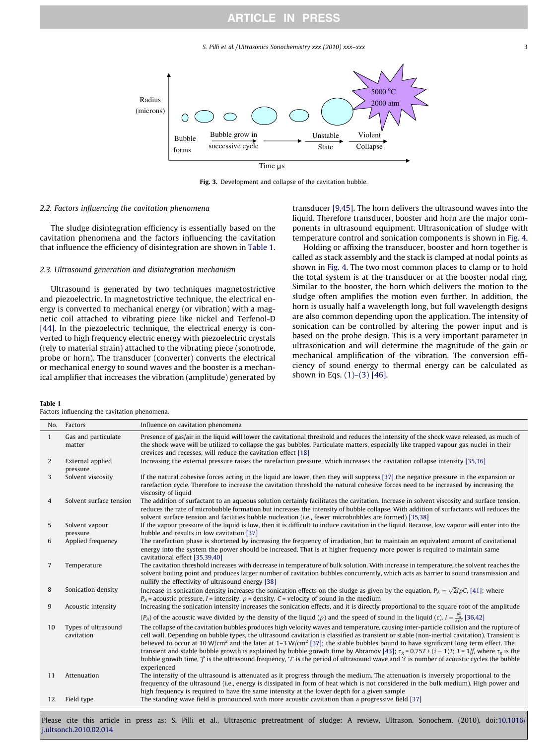S. Pilli et al. / Ultrasonics Sonochemistry xxx (2010) xxx–xxx 3

<span id="page-2-0"></span>

Fig. 3. Development and collapse of the cavitation bubble.

#### 2.2. Factors influencing the cavitation phenomena

The sludge disintegration efficiency is essentially based on the cavitation phenomena and the factors influencing the cavitation that influence the efficiency of disintegration are shown in Table 1.

#### 2.3. Ultrasound generation and disintegration mechanism

Ultrasound is generated by two techniques magnetostrictive and piezoelectric. In magnetostrictive technique, the electrical energy is converted to mechanical energy (or vibration) with a magnetic coil attached to vibrating piece like nickel and Terfenol-D [\[44\].](#page-16-0) In the piezoelectric technique, the electrical energy is converted to high frequency electric energy with piezoelectric crystals (rely to material strain) attached to the vibrating piece (sonotrode, probe or horn). The transducer (converter) converts the electrical or mechanical energy to sound waves and the booster is a mechanical amplifier that increases the vibration (amplitude) generated by transducer [\[9,45\]](#page-16-0). The horn delivers the ultrasound waves into the liquid. Therefore transducer, booster and horn are the major components in ultrasound equipment. Ultrasonication of sludge with temperature control and sonication components is shown in [Fig. 4.](#page-3-0)

Holding or affixing the transducer, booster and horn together is called as stack assembly and the stack is clamped at nodal points as shown in [Fig. 4](#page-3-0). The two most common places to clamp or to hold the total system is at the transducer or at the booster nodal ring. Similar to the booster, the horn which delivers the motion to the sludge often amplifies the motion even further. In addition, the horn is usually half a wavelength long, but full wavelength designs are also common depending upon the application. The intensity of sonication can be controlled by altering the power input and is based on the probe design. This is a very important parameter in ultrasonication and will determine the magnitude of the gain or mechanical amplification of the vibration. The conversion efficiency of sound energy to thermal energy can be calculated as shown in Eqs. [\(1\)–\(3\)](#page-3-0) [\[46\]](#page-16-0).

#### Table 1

Factors influencing the cavitation phenomena.

| No.            | Factors                           | Influence on cavitation phenomena                                                                                                                                                                                                                                                                                                                                                                                                                                                                                                                                                                                                                                                                                                                                                                                                                                                                                                                         |
|----------------|-----------------------------------|-----------------------------------------------------------------------------------------------------------------------------------------------------------------------------------------------------------------------------------------------------------------------------------------------------------------------------------------------------------------------------------------------------------------------------------------------------------------------------------------------------------------------------------------------------------------------------------------------------------------------------------------------------------------------------------------------------------------------------------------------------------------------------------------------------------------------------------------------------------------------------------------------------------------------------------------------------------|
| 1              | Gas and particulate<br>matter     | Presence of gas/air in the liquid will lower the cavitational threshold and reduces the intensity of the shock wave released, as much of<br>the shock wave will be utilized to collapse the gas bubbles. Particulate matters, especially like trapped vapour gas nuclei in their<br>crevices and recesses, will reduce the cavitation effect [18]                                                                                                                                                                                                                                                                                                                                                                                                                                                                                                                                                                                                         |
| 2              | External applied<br>pressure      | Increasing the external pressure raises the rarefaction pressure, which increases the cavitation collapse intensity [35,36]                                                                                                                                                                                                                                                                                                                                                                                                                                                                                                                                                                                                                                                                                                                                                                                                                               |
| 3              | Solvent viscosity                 | If the natural cohesive forces acting in the liquid are lower, then they will suppress [37] the negative pressure in the expansion or<br>rarefaction cycle. Therefore to increase the cavitation threshold the natural cohesive forces need to be increased by increasing the<br>viscosity of liquid                                                                                                                                                                                                                                                                                                                                                                                                                                                                                                                                                                                                                                                      |
| $\overline{4}$ | Solvent surface tension           | The addition of surfactant to an aqueous solution certainly facilitates the cavitation. Increase in solvent viscosity and surface tension,<br>reduces the rate of microbubble formation but increases the intensity of bubble collapse. With addition of surfactants will reduces the<br>solvent surface tension and facilities bubble nucleation (i.e., fewer microbubbles are formed) [35,38]                                                                                                                                                                                                                                                                                                                                                                                                                                                                                                                                                           |
| 5              | Solvent vapour<br>pressure        | If the vapour pressure of the liquid is low, then it is difficult to induce cavitation in the liquid. Because, low vapour will enter into the<br>bubble and results in low cavitation [37]                                                                                                                                                                                                                                                                                                                                                                                                                                                                                                                                                                                                                                                                                                                                                                |
| 6              | Applied frequency                 | The rarefaction phase is shortened by increasing the frequency of irradiation, but to maintain an equivalent amount of cavitational<br>energy into the system the power should be increased. That is at higher frequency more power is required to maintain same<br>cavitational effect [35,39,40]                                                                                                                                                                                                                                                                                                                                                                                                                                                                                                                                                                                                                                                        |
| 7              | Temperature                       | The cavitation threshold increases with decrease in temperature of bulk solution. With increase in temperature, the solvent reaches the<br>solvent boiling point and produces larger number of cavitation bubbles concurrently, which acts as barrier to sound transmission and<br>nullify the effectivity of ultrasound energy [38]                                                                                                                                                                                                                                                                                                                                                                                                                                                                                                                                                                                                                      |
| 8              | Sonication density                | Increase in sonication density increases the sonication effects on the sludge as given by the equation, $P_A = \sqrt{2}I\rho C$ , [41]; where<br>$P_A$ = acoustic pressure, I = intensity, $\rho$ = density, C = velocity of sound in the medium                                                                                                                                                                                                                                                                                                                                                                                                                                                                                                                                                                                                                                                                                                          |
| 9              | Acoustic intensity                | Increasing the sonication intensity increases the sonication effects, and it is directly proportional to the square root of the amplitude                                                                                                                                                                                                                                                                                                                                                                                                                                                                                                                                                                                                                                                                                                                                                                                                                 |
| 10             | Types of ultrasound<br>cavitation | $(P_A)$ of the acoustic wave divided by the density of the liquid ( $\rho$ ) and the speed of sound in the liquid (c). $I = \frac{P_A^2}{2\rho c}$ [36,42]<br>The collapse of the cavitation bubbles produces high velocity waves and temperature, causing inter-particle collision and the rupture of<br>cell wall. Depending on bubble types, the ultrasound cavitation is classified as transient or stable (non-inertial cavitation). Transient is<br>believed to occur at 10 W/cm <sup>2</sup> and the later at 1–3 W/cm <sup>2</sup> [37]; the stable bubbles bound to have significant long term effect. The<br>transient and stable bubble growth is explained by bubble growth time by Abramov [43]; $\tau_{\varphi} = 0.75T + (i - 1)T$ ; $T = 1/f$ , where $\tau_{\varphi}$ is the<br>bubble growth time, 'f' is the ultrasound frequency, 'T' is the period of ultrasound wave and 'i' is number of acoustic cycles the bubble<br>experienced |
| 11             | Attenuation                       | The intensity of the ultrasound is attenuated as it progress through the medium. The attenuation is inversely proportional to the<br>frequency of the ultrasound (i.e., energy is dissipated in form of heat which is not considered in the bulk medium). High power and<br>high frequency is required to have the same intensity at the lower depth for a given sample                                                                                                                                                                                                                                                                                                                                                                                                                                                                                                                                                                                   |
| 12             | Field type                        | The standing wave field is pronounced with more acoustic cavitation than a progressive field [37]                                                                                                                                                                                                                                                                                                                                                                                                                                                                                                                                                                                                                                                                                                                                                                                                                                                         |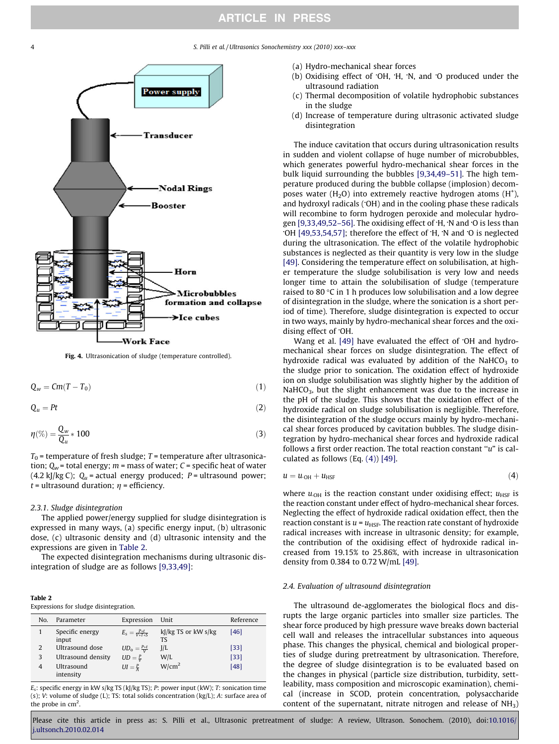<span id="page-3-0"></span>4 S. Pilli et al. / Ultrasonics Sonochemistry xxx (2010) xxx–xxx



Fig. 4. Ultrasonication of sludge (temperature controlled).

$$
Q_w = Cm(T - T_0) \tag{1}
$$

$$
Q_u = Pt \tag{2}
$$

$$
\eta(\%) = \frac{Q_w}{Q_u} * 100\tag{3}
$$

 $T_0$  = temperature of fresh sludge; T = temperature after ultrasonication;  $Q_w$  = total energy;  $m$  = mass of water;  $C$  = specific heat of water (4.2 kJ/kg C);  $Q_u$  = actual energy produced; P = ultrasound power;  $t =$  ultrasound duration;  $\eta$  = efficiency.

#### 2.3.1. Sludge disintegration

The applied power/energy supplied for sludge disintegration is expressed in many ways, (a) specific energy input, (b) ultrasonic dose, (c) ultrasonic density and (d) ultrasonic intensity and the expressions are given in Table 2.

The expected disintegration mechanisms during ultrasonic disintegration of sludge are as follows [\[9,33,49\]](#page-16-0):

Expressions for sludge disintegration.

| No. | Parameter                | Expression                                           | Unit                             | Reference |
|-----|--------------------------|------------------------------------------------------|----------------------------------|-----------|
|     | Specific energy<br>input | $E_{\rm s} = \frac{P_{\rm *L}}{V_{\rm *}T_{\rm *S}}$ | kJ/kg TS or kW s/kg<br><b>TS</b> | [46]      |
|     | Ultrasound dose          | $UD_0 = \frac{P*t}{V}$                               | J/L                              | $[33]$    |
| 3   | Ultrasound density       | $UD = \frac{P}{V}$                                   | W/L                              | $[33]$    |
| 4   | Ultrasound<br>intensity  | $UI = \frac{P}{4}$                                   | W/cm <sup>2</sup>                | [48]      |

 $E_s$ : specific energy in kW s/kg TS (kJ/kg TS); P: power input (kW); T: sonication time (s); V: volume of sludge (L); TS: total solids concentration (kg/L); A: surface area of the probe in  $\text{cm}^2$ .

- (a) Hydro-mechanical shear forces
- (b) Oxidising effect of OH, H, N, and O produced under the ultrasound radiation
- (c) Thermal decomposition of volatile hydrophobic substances in the sludge
- (d) Increase of temperature during ultrasonic activated sludge disintegration

The induce cavitation that occurs during ultrasonication results in sudden and violent collapse of huge number of microbubbles, which generates powerful hydro-mechanical shear forces in the bulk liquid surrounding the bubbles [\[9,34,49–51\]](#page-16-0). The high temperature produced during the bubble collapse (implosion) decomposes water  $(H_2O)$  into extremely reactive hydrogen atoms  $(H^*)$ , and hydroxyl radicals (OH) and in the cooling phase these radicals will recombine to form hydrogen peroxide and molecular hydro-gen [\[9,33,49,52–56\]](#page-16-0). The oxidising effect of  $H_1$ . N and  $\Omega$  is less than  $\Omega$  is 140.52.54.57), therefore the effect of  $H_1$ . N and  $\Omega$  is neglected OH [\[49,53,54,57\];](#page-16-0) therefore the effect of H, N and O is neglected during the ultrasonication. The effect of the volatile hydrophobic substances is neglected as their quantity is very low in the sludge [\[49\]](#page-16-0). Considering the temperature effect on solubilisation, at higher temperature the sludge solubilisation is very low and needs longer time to attain the solubilisation of sludge (temperature raised to 80 $\degree$ C in 1 h produces low solubilisation and a low degree of disintegration in the sludge, where the sonication is a short period of time). Therefore, sludge disintegration is expected to occur in two ways, mainly by hydro-mechanical shear forces and the oxidising effect of OH.

Wang et al. [\[49\]](#page-16-0) have evaluated the effect of OH and hydromechanical shear forces on sludge disintegration. The effect of hydroxide radical was evaluated by addition of the NaHCO<sub>3</sub> to the sludge prior to sonication. The oxidation effect of hydroxide ion on sludge solubilisation was slightly higher by the addition of NaHCO<sub>3</sub>, but the slight enhancement was due to the increase in the pH of the sludge. This shows that the oxidation effect of the hydroxide radical on sludge solubilisation is negligible. Therefore, the disintegration of the sludge occurs mainly by hydro-mechanical shear forces produced by cavitation bubbles. The sludge disintegration by hydro-mechanical shear forces and hydroxide radical follows a first order reaction. The total reaction constant "u" is calculated as follows  $(Eq. (4))$  [\[49\].](#page-16-0)

$$
u = u_{.0H} + u_{HSF} \tag{4}
$$

where  $u_{\text{OH}}$  is the reaction constant under oxidising effect;  $u_{\text{HSF}}$  is the reaction constant under effect of hydro-mechanical shear forces. Neglecting the effect of hydroxide radical oxidation effect, then the reaction constant is  $u = u_{HSF}$ . The reaction rate constant of hydroxide radical increases with increase in ultrasonic density; for example, the contribution of the oxidising effect of hydroxide radical increased from 19.15% to 25.86%, with increase in ultrasonication density from 0.384 to 0.72 W/mL [\[49\]](#page-16-0).

#### 2.4. Evaluation of ultrasound disintegration

The ultrasound de-agglomerates the biological flocs and disrupts the large organic particles into smaller size particles. The shear force produced by high pressure wave breaks down bacterial cell wall and releases the intracellular substances into aqueous phase. This changes the physical, chemical and biological properties of sludge during pretreatment by ultrasonication. Therefore, the degree of sludge disintegration is to be evaluated based on the changes in physical (particle size distribution, turbidity, settleability, mass composition and microscopic examination), chemical (increase in SCOD, protein concentration, polysaccharide content of the supernatant, nitrate nitrogen and release of  $NH<sub>3</sub>$ )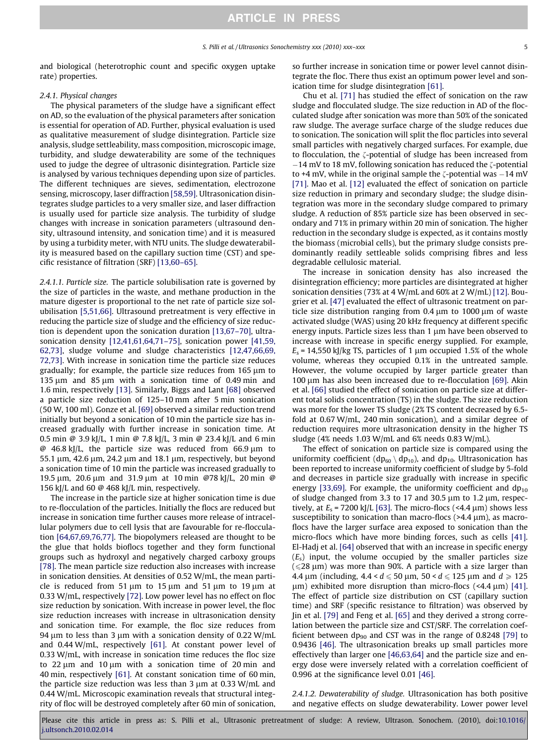and biological (heterotrophic count and specific oxygen uptake rate) properties.

#### 2.4.1. Physical changes

The physical parameters of the sludge have a significant effect on AD, so the evaluation of the physical parameters after sonication is essential for operation of AD. Further, physical evaluation is used as qualitative measurement of sludge disintegration. Particle size analysis, sludge settleability, mass composition, microscopic image, turbidity, and sludge dewaterability are some of the techniques used to judge the degree of ultrasonic disintegration. Particle size is analysed by various techniques depending upon size of particles. The different techniques are sieves, sedimentation, electrozone sensing, microscopy, laser diffraction [\[58,59\].](#page-17-0) Ultrasonication disintegrates sludge particles to a very smaller size, and laser diffraction is usually used for particle size analysis. The turbidity of sludge changes with increase in sonication parameters (ultrasound density, ultrasound intensity, and sonication time) and it is measured by using a turbidity meter, with NTU units. The sludge dewaterability is measured based on the capillary suction time (CST) and specific resistance of filtration (SRF) [\[13,60–65\].](#page-16-0)

2.4.1.1. Particle size. The particle solubilisation rate is governed by the size of particles in the waste, and methane production in the mature digester is proportional to the net rate of particle size solubilisation [\[5,51,66\]](#page-16-0). Ultrasound pretreatment is very effective in reducing the particle size of sludge and the efficiency of size reduction is dependent upon the sonication duration [\[13,67–70\],](#page-16-0) ultrasonication density [\[12,41,61,64,71–75\],](#page-16-0) sonication power [\[41,59,](#page-16-0) [62,73\]](#page-16-0), sludge volume and sludge characteristics [\[12,47,66,69,](#page-16-0) [72,73\]](#page-16-0). With increase in sonication time the particle size reduces gradually; for example, the particle size reduces from  $165 \mu m$  to 135  $\mu$ m and 85  $\mu$ m with a sonication time of 0.49 min and 1.6 min, respectively [\[13\]](#page-16-0). Similarly, Biggs and Lant [\[68\]](#page-17-0) observed a particle size reduction of 125–10 mm after 5 min sonication (50 W, 100 ml). Gonze et al. [\[69\]](#page-17-0) observed a similar reduction trend initially but beyond a sonication of 10 min the particle size has increased gradually with further increase in sonication time. At 0.5 min @ 3.9 kJ/L, 1 min @ 7.8 kJ/L, 3 min @ 23.4 kJ/L and 6 min  $\varphi$  46.8 kJ/L, the particle size was reduced from 66.9  $\mu$ m to 55.1  $\mu$ m, 42.6  $\mu$ m, 24.2  $\mu$ m and 18.1  $\mu$ m, respectively, but beyond a sonication time of 10 min the particle was increased gradually to 19.5 μm, 20.6 μm and 31.9 μm at 10 min @78 kJ/L, 20 min @ 156 kJ/L and 60  $\omega$  468 kJ/L min, respectively.

The increase in the particle size at higher sonication time is due to re-flocculation of the particles. Initially the flocs are reduced but increase in sonication time further causes more release of intracellular polymers due to cell lysis that are favourable for re-flocculation [\[64,67,69,76,77\]](#page-17-0). The biopolymers released are thought to be the glue that holds bioflocs together and they form functional groups such as hydroxyl and negatively charged carboxy groups [\[78\].](#page-17-0) The mean particle size reduction also increases with increase in sonication densities. At densities of 0.52 W/mL, the mean particle is reduced from 51  $\mu$ m to 15  $\mu$ m and 51  $\mu$ m to 19  $\mu$ m at 0.33 W/mL, respectively [\[72\].](#page-17-0) Low power level has no effect on floc size reduction by sonication. With increase in power level, the floc size reduction increases with increase in ultrasonication density and sonication time. For example, the floc size reduces from 94  $\mu$ m to less than 3  $\mu$ m with a sonication density of 0.22 W/mL and 0.44 W/mL, respectively [\[61\].](#page-17-0) At constant power level of 0.33 W/mL, with increase in sonication time reduces the floc size to  $22 \mu m$  and  $10 \mu m$  with a sonication time of  $20 \text{ min}$  and 40 min, respectively [\[61\].](#page-17-0) At constant sonication time of 60 min, the particle size reduction was less than 3  $\mu$ m at 0.33 W/mL and 0.44 W/mL. Microscopic examination reveals that structural integrity of floc will be destroyed completely after 60 min of sonication, so further increase in sonication time or power level cannot disintegrate the floc. There thus exist an optimum power level and sonication time for sludge disintegration [\[61\]](#page-17-0).

Chu et al. [\[71\]](#page-17-0) has studied the effect of sonication on the raw sludge and flocculated sludge. The size reduction in AD of the flocculated sludge after sonication was more than 50% of the sonicated raw sludge. The average surface charge of the sludge reduces due to sonication. The sonication will split the floc particles into several small particles with negatively charged surfaces. For example, due to flocculation, the  $\zeta$ -potential of sludge has been increased from  $-14$  mV to 18 mV, following sonication has reduced the  $\zeta$ -potential to +4 mV, while in the original sample the  $\zeta$ -potential was  $-14$  mV [\[71\].](#page-17-0) Mao et al. [\[12\]](#page-16-0) evaluated the effect of sonication on particle size reduction in primary and secondary sludge; the sludge disintegration was more in the secondary sludge compared to primary sludge. A reduction of 85% particle size has been observed in secondary and 71% in primary within 20 min of sonication. The higher reduction in the secondary sludge is expected, as it contains mostly the biomass (microbial cells), but the primary sludge consists predominantly readily settleable solids comprising fibres and less degradable cellulosic material.

The increase in sonication density has also increased the disintegration efficiency; more particles are disintegrated at higher sonication densities (73% at 4 W/mL and 60% at 2 W/mL) [\[12\].](#page-16-0) Bougrier et al. [\[47\]](#page-16-0) evaluated the effect of ultrasonic treatment on particle size distribution ranging from  $0.4 \mu m$  to  $1000 \mu m$  of waste activated sludge (WAS) using 20 kHz frequency at different specific energy inputs. Particle sizes less than  $1 \mu m$  have been observed to increase with increase in specific energy supplied. For example,  $E_s$  = 14,550 kJ/kg TS, particles of 1 µm occupied 1.5% of the whole volume, whereas they occupied 0.1% in the untreated sample. However, the volume occupied by larger particle greater than  $100 \mu m$  has also been increased due to re-flocculation [\[69\]](#page-17-0). Akin et al. [\[66\]](#page-17-0) studied the effect of sonication on particle size at different total solids concentration (TS) in the sludge. The size reduction was more for the lower TS sludge (2% TS content decreased by 6.5 fold at 0.67 W/mL, 240 min sonication), and a similar degree of reduction requires more ultrasonication density in the higher TS sludge (4% needs 1.03 W/mL and 6% needs 0.83 W/mL).

The effect of sonication on particle size is compared using the uniformity coefficient ( $dp_{60} \setminus dp_{10}$ ), and dp<sub>10</sub>. Ultrasonication has been reported to increase uniformity coefficient of sludge by 5-fold and decreases in particle size gradually with increase in specific energy [\[33,69\].](#page-16-0) For example, the uniformity coefficient and  $dp_{10}$ of sludge changed from 3.3 to 17 and 30.5  $\mu$ m to 1.2  $\mu$ m, respectively, at  $E_s$  = 7200 kJ/L [\[63\]](#page-17-0). The micro-flocs (<4.4  $\mu$ m) shows less susceptibility to sonication than macro-flocs  $($ >4.4  $\mu$ m), as macroflocs have the larger surface area exposed to sonication than the micro-flocs which have more binding forces, such as cells [\[41\].](#page-16-0) El-Hadj et al. [\[64\]](#page-17-0) observed that with an increase in specific energy  $(E<sub>s</sub>)$  input, the volume occupied by the smaller particles size  $\approx$  28  $\mu$ m) was more than 90%. A particle with a size larger than 4.4  $\mu$ m (including, 4.4 <  $d \le 50 \mu$ m, 50 <  $d \le 125 \mu$ m and  $d \ge 125$  $\mu$ m) exhibited more disruption than micro-flocs (<4.4  $\mu$ m) [\[41\].](#page-16-0) The effect of particle size distribution on CST (capillary suction time) and SRF (specific resistance to filtration) was observed by Jin et al. [\[79\]](#page-17-0) and Feng et al. [\[65\]](#page-17-0) and they derived a strong correlation between the particle size and CST/SRF. The correlation coefficient between  $dp_{90}$  and CST was in the range of 0.8248 [\[79\]](#page-17-0) to 0.9436 [\[46\]](#page-16-0). The ultrasonication breaks up small particles more effectively than larger one [\[46,63,64\]](#page-16-0) and the particle size and energy dose were inversely related with a correlation coefficient of 0.996 at the significance level 0.01 [\[46\].](#page-16-0)

2.4.1.2. Dewaterability of sludge. Ultrasonication has both positive and negative effects on sludge dewaterability. Lower power level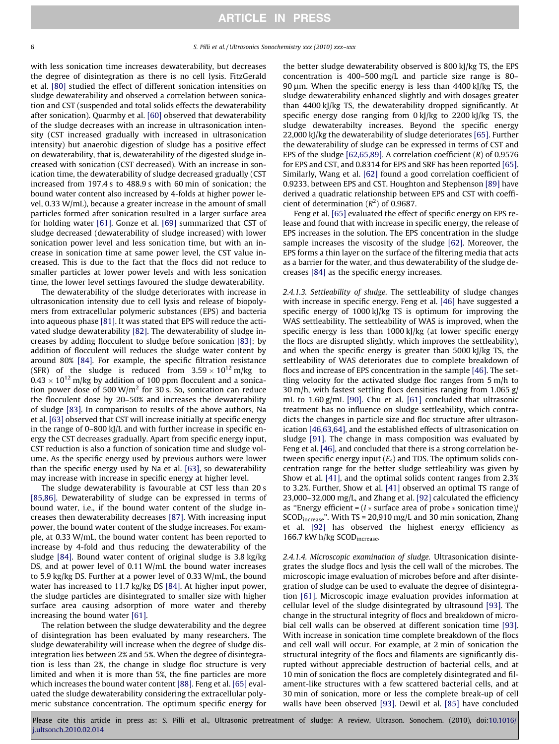with less sonication time increases dewaterability, but decreases the degree of disintegration as there is no cell lysis. FitzGerald et al. [\[80\]](#page-17-0) studied the effect of different sonication intensities on sludge dewaterability and observed a correlation between sonication and CST (suspended and total solids effects the dewaterability after sonication). Quarmby et al. [\[60\]](#page-17-0) observed that dewaterability of the sludge decreases with an increase in ultrasonication intensity (CST increased gradually with increased in ultrasonication intensity) but anaerobic digestion of sludge has a positive effect on dewaterability, that is, dewaterability of the digested sludge increased with sonication (CST decreased). With an increase in sonication time, the dewaterability of sludge decreased gradually (CST increased from 197.4 s to 488.9 s with 60 min of sonication; the bound water content also increased by 4-folds at higher power level, 0.33 W/mL), because a greater increase in the amount of small particles formed after sonication resulted in a larger surface area for holding water [\[61\].](#page-17-0) Gonze et al. [\[69\]](#page-17-0) summarized that CST of sludge decreased (dewaterability of sludge increased) with lower sonication power level and less sonication time, but with an increase in sonication time at same power level, the CST value increased. This is due to the fact that the flocs did not reduce to smaller particles at lower power levels and with less sonication time, the lower level settings favoured the sludge dewaterability.

The dewaterability of the sludge deteriorates with increase in ultrasonication intensity due to cell lysis and release of biopolymers from extracellular polymeric substances (EPS) and bacteria into aqueous phase [\[81\].](#page-17-0) It was stated that EPS will reduce the activated sludge dewaterability [\[82\].](#page-17-0) The dewaterability of sludge increases by adding flocculent to sludge before sonication [\[83\]](#page-17-0); by addition of flocculent will reduces the sludge water content by around 80% [\[84\]](#page-17-0). For example, the specific filtration resistance (SFR) of the sludge is reduced from  $3.59 \times 10^{12}$  m/kg to  $0.43 \times 10^{12}$  m/kg by addition of 100 ppm flocculent and a sonication power dose of 500 W/m<sup>2</sup> for 30 s. So, sonication can reduce the flocculent dose by 20–50% and increases the dewaterability of sludge [\[83\]](#page-17-0). In comparison to results of the above authors, Na et al. [\[63\]](#page-17-0) observed that CST will increase initially at specific energy in the range of 0–800 kJ/L and with further increase in specific energy the CST decreases gradually. Apart from specific energy input, CST reduction is also a function of sonication time and sludge volume. As the specific energy used by previous authors were lower than the specific energy used by Na et al. [\[63\]](#page-17-0), so dewaterability may increase with increase in specific energy at higher level.

The sludge dewaterability is favourable at CST less than 20 s [\[85,86\].](#page-17-0) Dewaterability of sludge can be expressed in terms of bound water, i.e., if the bound water content of the sludge increases then dewaterability decreases [\[87\]](#page-17-0). With increasing input power, the bound water content of the sludge increases. For example, at 0.33 W/mL, the bound water content has been reported to increase by 4-fold and thus reducing the dewaterability of the sludge [\[84\]](#page-17-0). Bound water content of original sludge is 3.8 kg/kg DS, and at power level of 0.11 W/mL the bound water increases to 5.9 kg/kg DS. Further at a power level of 0.33 W/mL, the bound water has increased to 11.7 kg/kg DS [\[84\]](#page-17-0). At higher input power, the sludge particles are disintegrated to smaller size with higher surface area causing adsorption of more water and thereby increasing the bound water [\[61\].](#page-17-0)

The relation between the sludge dewaterability and the degree of disintegration has been evaluated by many researchers. The sludge dewaterability will increase when the degree of sludge disintegration lies between 2% and 5%. When the degree of disintegration is less than 2%, the change in sludge floc structure is very limited and when it is more than 5%, the fine particles are more which increases the bound water content [\[88\]](#page-17-0). Feng et al. [\[65\]](#page-17-0) evaluated the sludge dewaterability considering the extracellular polymeric substance concentration. The optimum specific energy for the better sludge dewaterability observed is 800 kJ/kg TS, the EPS concentration is 400–500 mg/L and particle size range is 80– 90  $\mu$ m. When the specific energy is less than 4400 kJ/kg TS, the sludge dewaterability enhanced slightly and with dosages greater than 4400 kJ/kg TS, the dewaterability dropped significantly. At specific energy dose ranging from 0 kJ/kg to 2200 kJ/kg TS, the sludge dewaterabilty increases. Beyond the specific energy 22,000 kJ/kg the dewaterability of sludge deteriorates [\[65\].](#page-17-0) Further the dewaterability of sludge can be expressed in terms of CST and EPS of the sludge [\[62,65,89\]](#page-17-0). A correlation coefficient (R) of 0.9576 for EPS and CST, and 0.8314 for EPS and SRF has been reported [\[65\].](#page-17-0) Similarly, Wang et al. [\[62\]](#page-17-0) found a good correlation coefficient of 0.9233, between EPS and CST. Houghton and Stephenson [\[89\]](#page-17-0) have derived a quadratic relationship between EPS and CST with coefficient of determination  $(R^2)$  of 0.9687.

Feng et al. [\[65\]](#page-17-0) evaluated the effect of specific energy on EPS release and found that with increase in specific energy, the release of EPS increases in the solution. The EPS concentration in the sludge sample increases the viscosity of the sludge [\[62\]](#page-17-0). Moreover, the EPS forms a thin layer on the surface of the filtering media that acts as a barrier for the water, and thus dewaterability of the sludge decreases [\[84\]](#page-17-0) as the specific energy increases.

2.4.1.3. Settleability of sludge. The settleability of sludge changes with increase in specific energy. Feng et al. [\[46\]](#page-16-0) have suggested a specific energy of 1000 kJ/kg TS is optimum for improving the WAS settleability. The settleability of WAS is improved, when the specific energy is less than 1000 kJ/kg (at lower specific energy the flocs are disrupted slightly, which improves the settleability), and when the specific energy is greater than 5000 kJ/kg TS, the settleability of WAS deteriorates due to complete breakdown of flocs and increase of EPS concentration in the sample [\[46\]](#page-16-0). The settling velocity for the activated sludge floc ranges from 5 m/h to 30 m/h, with fastest settling flocs densities ranging from 1.065 g/ mL to 1.60 g/mL [\[90\]](#page-17-0). Chu et al. [\[61\]](#page-17-0) concluded that ultrasonic treatment has no influence on sludge settleability, which contradicts the changes in particle size and floc structure after ultrasonication [\[46,63,64\],](#page-16-0) and the established effects of ultrasonication on sludge [\[91\].](#page-17-0) The change in mass composition was evaluated by Feng et al. [\[46\],](#page-16-0) and concluded that there is a strong correlation between specific energy input  $(E_s)$  and TDS. The optimum solids concentration range for the better sludge settleability was given by Show et al. [\[41\]](#page-16-0), and the optimal solids content ranges from 2.3% to 3.2%. Further, Show et al. [\[41\]](#page-16-0) observed an optimal TS range of 23,000–32,000 mg/L, and Zhang et al. [\[92\]](#page-17-0) calculated the efficiency as "Energy efficient =  $(I * surface area of probe * sonication time)$  $SCOD<sub>increase</sub>$ ". With TS = 20,910 mg/L and 30 min sonication, Zhang et al. [\[92\]](#page-17-0) has observed the highest energy efficiency as 166.7 kW h/kg SCOD<sub>increase</sub>.

2.4.1.4. Microscopic examination of sludge. Ultrasonication disintegrates the sludge flocs and lysis the cell wall of the microbes. The microscopic image evaluation of microbes before and after disintegration of sludge can be used to evaluate the degree of disintegration [\[61\].](#page-17-0) Microscopic image evaluation provides information at cellular level of the sludge disintegrated by ultrasound [\[93\].](#page-17-0) The change in the structural integrity of flocs and breakdown of microbial cell walls can be observed at different sonication time [\[93\].](#page-17-0) With increase in sonication time complete breakdown of the flocs and cell wall will occur. For example, at 2 min of sonication the structural integrity of the flocs and filaments are significantly disrupted without appreciable destruction of bacterial cells, and at 10 min of sonication the flocs are completely disintegrated and filament-like structures with a few scattered bacterial cells, and at 30 min of sonication, more or less the complete break-up of cell walls have been observed [\[93\].](#page-17-0) Dewil et al. [\[85\]](#page-17-0) have concluded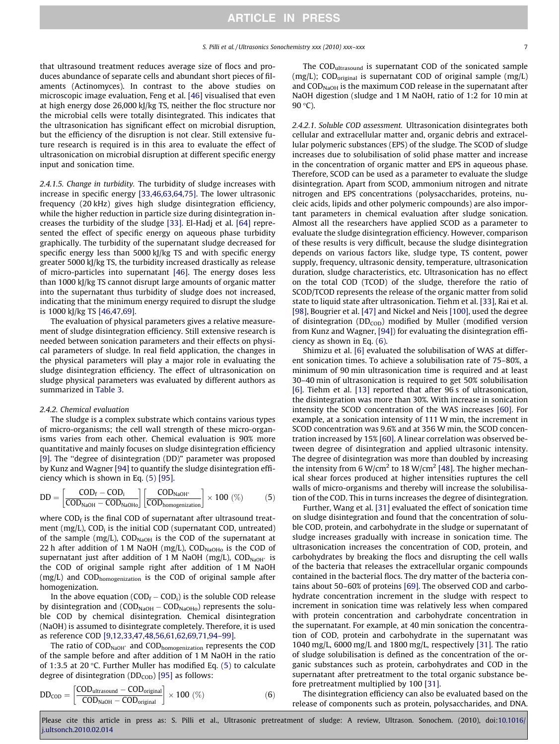that ultrasound treatment reduces average size of flocs and produces abundance of separate cells and abundant short pieces of filaments (Actinomyces). In contrast to the above studies on microscopic image evaluation, Feng et al. [\[46\]](#page-16-0) visualised that even at high energy dose 26,000 kJ/kg TS, neither the floc structure nor the microbial cells were totally disintegrated. This indicates that the ultrasonication has significant effect on microbial disruption, but the efficiency of the disruption is not clear. Still extensive future research is required is in this area to evaluate the effect of ultrasonication on microbial disruption at different specific energy input and sonication time.

2.4.1.5. Change in turbidity. The turbidity of sludge increases with increase in specific energy [\[33,46,63,64,75\].](#page-16-0) The lower ultrasonic frequency (20 kHz) gives high sludge disintegration efficiency, while the higher reduction in particle size during disintegration increases the turbidity of the sludge [\[33\]](#page-16-0). El-Hadj et al. [\[64\]](#page-17-0) represented the effect of specific energy on aqueous phase turbidity graphically. The turbidity of the supernatant sludge decreased for specific energy less than 5000 kJ/kg TS and with specific energy greater 5000 kJ/kg TS, the turbidity increased drastically as release of micro-particles into supernatant [\[46\]](#page-16-0). The energy doses less than 1000 kJ/kg TS cannot disrupt large amounts of organic matter into the supernatant thus turbidity of sludge does not increased, indicating that the minimum energy required to disrupt the sludge is 1000 kJ/kg TS [\[46,47,69\]](#page-16-0).

The evaluation of physical parameters gives a relative measurement of sludge disintegration efficiency. Still extensive research is needed between sonication parameters and their effects on physical parameters of sludge. In real field application, the changes in the physical parameters will play a major role in evaluating the sludge disintegration efficiency. The effect of ultrasonication on sludge physical parameters was evaluated by different authors as summarized in [Table 3.](#page-7-0)

#### 2.4.2. Chemical evaluation

The sludge is a complex substrate which contains various types of micro-organisms; the cell wall strength of these micro-organisms varies from each other. Chemical evaluation is 90% more quantitative and mainly focuses on sludge disintegration efficiency [\[9\]](#page-16-0). The ''degree of disintegration (DD)" parameter was proposed by Kunz and Wagner [\[94\]](#page-17-0) to quantify the sludge disintegration efficiency which is shown in Eq. (5) [\[95\].](#page-17-0)

$$
DD = \left[ \frac{COD_f - COD_i}{COD_{NaOH} - COD_{NaOHo}} \right] \left[ \frac{COD_{NaOH^*}}{COD_{homogenization}} \right] \times 100~(\%) ~~(5)
$$

where  $\text{COD}_f$  is the final COD of supernatant after ultrasound treatment ( $mg/L$ ), COD<sub>i</sub> is the initial COD (supernatant COD, untreated) of the sample (mg/L),  $\text{COD}_{\text{NaOH}}$  is the COD of the supernatant at 22 h after addition of 1 M NaOH (mg/L),  $\text{COD}_{\text{NaOHo}}$  is the COD of supernatant just after addition of 1 M NaOH (mg/L),  $\text{COD}_{\text{NaOH}^*}$  is the COD of original sample right after addition of 1 M NaOH (mg/L) and COD<sub>homogenization</sub> is the COD of original sample after homogenization.

In the above equation (COD $_{\rm f}$  – COD $_{\rm i}$ ) is the soluble COD release by disintegration and (COD $_{\rm NaOH}$  – COD $_{\rm NaOHo}$ ) represents the soluble COD by chemical disintegration. Chemical disintegration (NaOH) is assumed to disintegrate completely. Therefore, it is used as reference COD [\[9,12,33,47,48,56,61,62,69,71,94–99\]](#page-16-0).

The ratio of COD<sub>NaOH</sub> and COD<sub>homogenization</sub> represents the COD of the sample before and after addition of 1 M NaOH in the ratio of 1:3.5 at 20 $\degree$ C. Further Muller has modified Eq. (5) to calculate degree of disintegration  $(DD_{\text{COD}})$  [\[95\]](#page-17-0) as follows:

$$
DD_{\text{COD}} = \left[\frac{\text{COD}_{ultrasound} - \text{COD}_{original}}{\text{COD}_{\text{NaOH}} - \text{COD}_{original}}\right] \times 100 \; (\%) \tag{6}
$$

The CODultrasound is supernatant COD of the sonicated sample (mg/L); COD<sub>original</sub> is supernatant COD of original sample (mg/L) and  $\text{COD}_{\text{NaOH}}$  is the maximum COD release in the supernatant after NaOH digestion (sludge and 1 M NaOH, ratio of 1:2 for 10 min at  $90^{\circ}$ C).

2.4.2.1. Soluble COD assessment. Ultrasonication disintegrates both cellular and extracellular matter and, organic debris and extracellular polymeric substances (EPS) of the sludge. The SCOD of sludge increases due to solubilisation of solid phase matter and increase in the concentration of organic matter and EPS in aqueous phase. Therefore, SCOD can be used as a parameter to evaluate the sludge disintegration. Apart from SCOD, ammonium nitrogen and nitrate nitrogen and EPS concentrations (polysaccharides, proteins, nucleic acids, lipids and other polymeric compounds) are also important parameters in chemical evaluation after sludge sonication. Almost all the researchers have applied SCOD as a parameter to evaluate the sludge disintegration efficiency. However, comparison of these results is very difficult, because the sludge disintegration depends on various factors like, sludge type, TS content, power supply, frequency, ultrasonic density, temperature, ultrasonication duration, sludge characteristics, etc. Ultrasonication has no effect on the total COD (TCOD) of the sludge, therefore the ratio of SCOD/TCOD represents the release of the organic matter from solid state to liquid state after ultrasonication. Tiehm et al. [\[33\]](#page-16-0), Rai et al. [\[98\]](#page-17-0), Bougrier et al. [\[47\]](#page-16-0) and Nickel and Neis [\[100\]](#page-17-0), used the degree of disintegration ( $DD <sub>COD</sub>$ ) modified by Muller (modified version from Kunz and Wagner, [\[94\]\)](#page-17-0) for evaluating the disintegration efficiency as shown in Eq. (6).

Shimizu et al. [\[6\]](#page-16-0) evaluated the solubilisation of WAS at different sonication times. To achieve a solubilisation rate of 75–80%, a minimum of 90 min ultrasonication time is required and at least 30–40 min of ultrasonication is required to get 50% solubilisation [\[6\]](#page-16-0). Tiehm et al. [\[13\]](#page-16-0) reported that after 96 s of ultrasonication, the disintegration was more than 30%. With increase in sonication intensity the SCOD concentration of the WAS increases [\[60\]](#page-17-0). For example, at a sonication intensity of 111 W min, the increment in SCOD concentration was 9.6% and at 356 W min, the SCOD concentration increased by 15% [\[60\].](#page-17-0) A linear correlation was observed between degree of disintegration and applied ultrasonic intensity. The degree of disintegration was more than doubled by increasing the intensity from 6 W/cm<sup>2</sup> to 18 W/cm<sup>2</sup> [\[48\].](#page-16-0) The higher mechanical shear forces produced at higher intensities ruptures the cell walls of micro-organisms and thereby will increase the solubilisation of the COD. This in turns increases the degree of disintegration.

Further, Wang et al. [\[31\]](#page-16-0) evaluated the effect of sonication time on sludge disintegration and found that the concentration of soluble COD, protein, and carbohydrate in the sludge or supernatant of sludge increases gradually with increase in sonication time. The ultrasonication increases the concentration of COD, protein, and carbohydrates by breaking the flocs and disrupting the cell walls of the bacteria that releases the extracellular organic compounds contained in the bacterial flocs. The dry matter of the bacteria contains about 50–60% of proteins [\[69\]](#page-17-0). The observed COD and carbohydrate concentration increment in the sludge with respect to increment in sonication time was relatively less when compared with protein concentration and carbohydrate concentration in the supernatant. For example, at 40 min sonication the concentration of COD, protein and carbohydrate in the supernatant was 1040 mg/L, 6000 mg/L and 1800 mg/L, respectively [\[31\].](#page-16-0) The ratio of sludge solubilisation is defined as the concentration of the organic substances such as protein, carbohydrates and COD in the supernatant after pretreatment to the total organic substance before pretreatment multiplied by 100 [\[31\]](#page-16-0).

The disintegration efficiency can also be evaluated based on the release of components such as protein, polysaccharides, and DNA.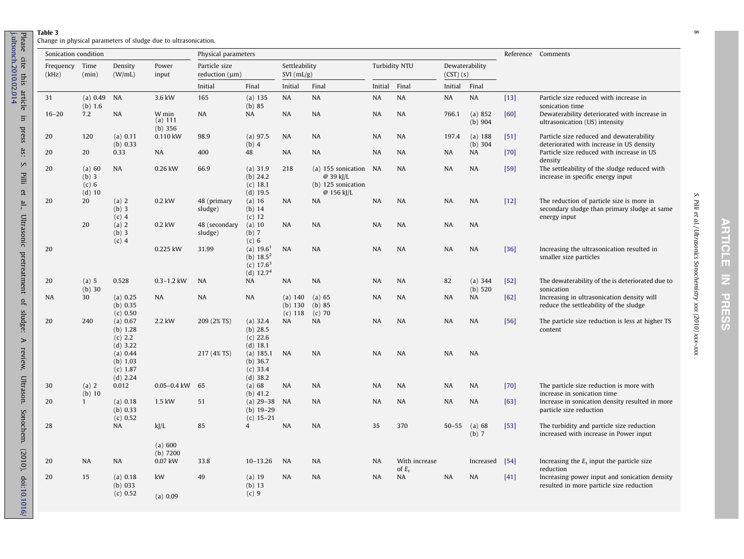<span id="page-7-0"></span>

| Sonication condition    |                                          |                                                 |                               | Physical parameters                  |                                                             |                                 |                                                                          |                      |                      |                            |                      |        | Reference Comments                                                                                        |  |
|-------------------------|------------------------------------------|-------------------------------------------------|-------------------------------|--------------------------------------|-------------------------------------------------------------|---------------------------------|--------------------------------------------------------------------------|----------------------|----------------------|----------------------------|----------------------|--------|-----------------------------------------------------------------------------------------------------------|--|
| Frequency Time<br>(kHz) | (min)                                    | Density<br>(W/mL)                               | Power<br>input                | Particle size<br>reduction $(\mu m)$ |                                                             | Settleability<br>$SVI$ (mL/g)   |                                                                          | <b>Turbidity NTU</b> |                      | Dewaterability<br>(CST)(s) |                      |        |                                                                                                           |  |
|                         |                                          |                                                 |                               | Initial                              | Final                                                       | Initial                         | Final                                                                    | Initial              | Final                | Initial                    | Final                |        |                                                                                                           |  |
| 31                      | (a) 0.49<br>(b) 1.6                      | <b>NA</b>                                       | 3.6 kW                        | 165                                  | (a) 135<br>$(b)$ 85                                         | NA                              | NA                                                                       | <b>NA</b>            | $\sf NA$             | NA                         | $\sf NA$             | $[13]$ | Particle size reduced with increase in<br>sonication time                                                 |  |
| $16 - 20$               | 7.2                                      | NA                                              | W min<br>$(a)$ 111<br>(b) 356 | <b>NA</b>                            | <b>NA</b>                                                   | <b>NA</b>                       | NA                                                                       | <b>NA</b>            | <b>NA</b>            | 766.1                      | (a) 852<br>$(b)$ 904 | [60]   | Dewaterability deteriorated with increase in<br>ultrasonication (US) intensity                            |  |
| 20                      | 120                                      | (a) 0.11<br>(b) 0.33                            | 0.110 kW                      | 98.9                                 | (a) 97.5<br>$(b)$ 4                                         | NA                              | <b>NA</b>                                                                | <b>NA</b>            | <b>NA</b>            | 197.4                      | (a) 188<br>(b) 304   | $[51]$ | Particle size reduced and dewaterability<br>deteriorated with increase in US density                      |  |
| 20                      | 20                                       | 0.33                                            | NA                            | 400                                  | 48                                                          | <b>NA</b>                       | <b>NA</b>                                                                | <b>NA</b>            | <b>NA</b>            | NA                         | NA                   | $[70]$ | Particle size reduced with increase in US<br>density                                                      |  |
| 20                      | $(a)$ 60<br>$(b)$ 3<br>(c) 6<br>$(d)$ 10 | NA                                              | 0.26 kW                       | 66.9                                 | $(a)$ 31.9<br>(b) 24.2<br>$(c)$ 18.1<br>$(d)$ 19.5          | 218                             | (a) 155 sonication NA<br>@ 39 kJ/L<br>$(b)$ 125 sonication<br>@ 156 kJ/L |                      | <b>NA</b>            | <b>NA</b>                  | NA                   | $[59]$ | The settleability of the sludge reduced with<br>increase in specific energy input                         |  |
| 20                      | 20                                       | (a) 2<br>$(b)$ 3<br>$(c)$ 4                     | 0.2 kW                        | 48 (primary<br>sludge)               | $(a)$ 16<br>$(b)$ 14<br>$(c)$ 12                            | <b>NA</b>                       | NA                                                                       | <b>NA</b>            | <b>NA</b>            | <b>NA</b>                  | NA                   | $[12]$ | The reduction of particle size is more in<br>secondary sludge than primary sludge at same<br>energy input |  |
|                         | 20                                       | (a) 2<br>$(b)$ 3<br>$(c)$ 4                     | $0.2$ kW                      | 48 (secondary<br>sludge)             | $(a)$ 10<br>(b) 7<br>(c) 6                                  | NA                              | NA                                                                       | NA                   | <b>NA</b>            | <b>NA</b>                  | NA                   |        |                                                                                                           |  |
| 20                      |                                          |                                                 | 0.225 kW                      | 31.99                                | (a) $19.6^1$<br>(b) $18.5^2$<br>(c) $17.6^3$<br>(d) $12.74$ | NA                              | <b>NA</b>                                                                | <b>NA</b>            | <b>NA</b>            | <b>NA</b>                  | NA                   | $[36]$ | Increasing the ultrasonication resulted in<br>smaller size particles                                      |  |
| 20                      | (a) 5<br>$(b)$ 30                        | 0.528                                           | $0.3 - 1.2$ kW                | <b>NA</b>                            | <b>NA</b>                                                   | <b>NA</b>                       | <b>NA</b>                                                                | <b>NA</b>            | <b>NA</b>            | 82                         | (a) 344<br>(b) 520   | $[52]$ | The dewaterability of the is deteriorated due to<br>sonication                                            |  |
| <b>NA</b>               | 30                                       | (a) 0.25<br>(b) 0.35<br>$(c)$ 0.50              | NA                            | <b>NA</b>                            | <b>NA</b>                                                   | (a) 140<br>$(b)$ 130<br>(c) 118 | $(a)$ 65<br>$(b)$ 85<br>$(c)$ 70                                         | <b>NA</b>            | <b>NA</b>            | <b>NA</b>                  | NA                   | $[62]$ | Increasing in ultrasonication density will<br>reduce the settleability of the sludge                      |  |
| 20                      | 240                                      | (a) 0.67<br>(b) 1.28<br>$(c)$ 2.2<br>$(d)$ 3.22 | 2.2 kW                        | 209 (2% TS)                          | $(a)$ 32.4<br>(b) 28.5<br>$(c)$ 22.6<br>$(d)$ 18.1          | NA                              | <b>NA</b>                                                                | <b>NA</b>            | <b>NA</b>            | NA                         | NA                   | $[56]$ | The particle size reduction is less at higher TS<br>content                                               |  |
|                         |                                          | (a) 0.44<br>(b) 1.03<br>(c) 1.87<br>$(d)$ 2.24  |                               | 217 (4% TS)                          | $(a)$ 185.1<br>$(b)$ 36.7<br>$(c)$ 33.4<br>$(d)$ 38.2       | NA                              | NA                                                                       | <b>NA</b>            | <b>NA</b>            | <b>NA</b>                  | NA                   |        |                                                                                                           |  |
| 30                      | (a) 2<br>$(b)$ 10                        | 0.012                                           | $0.05 - 0.4$ kW               | 65                                   | (a) 68<br>$(b)$ 41.2                                        | NA                              | <b>NA</b>                                                                | <b>NA</b>            | <b>NA</b>            | NA                         | NA                   | $[70]$ | The particle size reduction is more with<br>increase in sonication time                                   |  |
| 20                      | $\mathbf{1}$                             | (a) 0.18<br>(b) 0.33<br>$(c)$ 0.52              | 1.5 kW                        | 51                                   | (a) $29 - 38$<br>$(b) 19-29$<br>$(c) 15 - 21$               | <b>NA</b>                       | NA                                                                       | <b>NA</b>            | <b>NA</b>            | <b>NA</b>                  | NA                   | $[63]$ | Increase in sonication density resulted in more<br>particle size reduction                                |  |
| 28                      |                                          | <b>NA</b>                                       | kJ/L<br>(a) 600               | 85                                   | $\overline{4}$                                              | NA                              | <b>NA</b>                                                                | 35                   | 370                  | $50 - 55$                  | (a) 68<br>(b)7       | $[53]$ | The turbidity and particle size reduction<br>increased with increase in Power input                       |  |
| 20                      | <b>NA</b>                                | <b>NA</b>                                       | (b) 7200<br>0.07 kW           | 33.8                                 | 10-13.26                                                    | NA                              | NA                                                                       | <b>NA</b>            | With increase        |                            | Increased            | $[54]$ | Increasing the $E_s$ input the particle size                                                              |  |
| 20                      | 15                                       | (a) 0.18                                        | kW                            | 49                                   | $(a)$ 19                                                    | <b>NA</b>                       | NA                                                                       | <b>NA</b>            | of $E_s$<br>$\sf NA$ | <b>NA</b>                  | NA                   | [41]   | reduction<br>Increasing power input and sonication density                                                |  |
|                         |                                          | (b) 033<br>(c) 0.52                             | (a) 0.09                      |                                      | $(b)$ 13<br>(c)9                                            |                                 |                                                                          |                      |                      |                            |                      |        | resulted in more particle size reduction                                                                  |  |

S. Pilli et al. / Ultrasonics Sonochemistry xxx (2010) xxx–xxx

S. Pilli et al./Ultrasonics Sonochemistry xxx (2010) xxx-xxx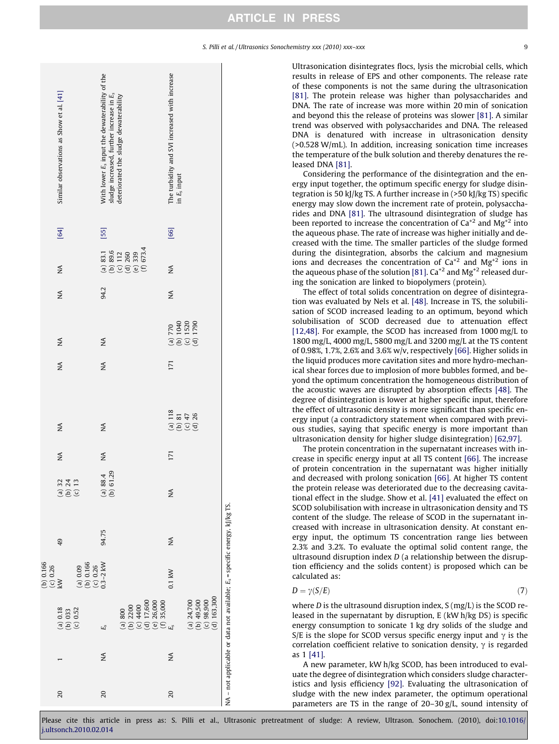|                                 | Similar observations as Show et al. [41]                  | With lower E <sub>s</sub> input the dewaterability of the<br>sludge increased, further increase in E <sub>s</sub> | deteriorated the sludge dewaterability                               | The turbidity and SVI increased with increase<br>in $E_s$ input |                                                         |                                                                                        |
|---------------------------------|-----------------------------------------------------------|-------------------------------------------------------------------------------------------------------------------|----------------------------------------------------------------------|-----------------------------------------------------------------|---------------------------------------------------------|----------------------------------------------------------------------------------------|
|                                 | $[64]$                                                    | $[55]$                                                                                                            |                                                                      | [66]                                                            |                                                         |                                                                                        |
|                                 | ≸                                                         |                                                                                                                   | (a) 83.1<br>(b) 89.6<br>(c) 112<br>(d) 259<br>(e) 873.4<br>(f) 673.4 | ₹                                                               |                                                         |                                                                                        |
|                                 | ≸                                                         | 94.2                                                                                                              |                                                                      | $\lessapprox$                                                   |                                                         |                                                                                        |
|                                 | ≸                                                         | $\lessapprox$                                                                                                     |                                                                      | (a) 770<br>(b) 1040<br>(c) 1520<br>(d) 1790                     |                                                         |                                                                                        |
|                                 | ≸                                                         | $\lessapprox$                                                                                                     |                                                                      | 171                                                             |                                                         |                                                                                        |
|                                 | ≸<br>≸                                                    | ₹<br>$\lessapprox$                                                                                                |                                                                      | (a) 118<br>(b) 81<br>(c) 47<br>(d) 26<br>171                    |                                                         |                                                                                        |
|                                 |                                                           | 88.4<br>61.29                                                                                                     |                                                                      |                                                                 |                                                         |                                                                                        |
|                                 | $\begin{array}{c} (a) 32 \\ (b) 24 \\ (c) 13 \end{array}$ | $\begin{pmatrix} a \\ b \end{pmatrix}$                                                                            |                                                                      | $\lessapprox$                                                   |                                                         |                                                                                        |
|                                 | 49                                                        | 94.75                                                                                                             |                                                                      | $\lessapprox$                                                   |                                                         | NA - not applicable or data not available; E <sub>s</sub> = specific energy, kJ/kg TS. |
| (b) 0.166<br>$\frac{1}{k}$ 0.26 | (a) $0.09$<br>(b) $0.166$<br>(c) $0.26$                   | $0.3 - 2$ kW                                                                                                      |                                                                      | $0.1$ kW                                                        |                                                         |                                                                                        |
|                                 | (a) $0.18$<br>(b) 033<br>(c) 0.52                         | Еš                                                                                                                | (a) 800<br>(b) 2200<br>(c) 4400<br>(d) 17,600<br>(e) 26,000          | ${\rm (f)}$ 35,000 ${\rm E_s}$                                  | $(d)$ 163,300<br>(a) 24,700<br>(b) 49,500<br>(c) 98,900 |                                                                                        |
|                                 |                                                           | ₹                                                                                                                 |                                                                      | ₹                                                               |                                                         |                                                                                        |
|                                 | 20                                                        | 20                                                                                                                |                                                                      | 20                                                              |                                                         |                                                                                        |

Ultrasonication disintegrates flocs, lysis the microbial cells, which results in release of EPS and other components. The release rate of these components is not the same during the ultrasonication [\[81\]](#page-17-0). The protein release was higher than polysaccharides and DNA. The rate of increase was more within 20 min of sonication and beyond this the release of proteins was slower [\[81\].](#page-17-0) A similar trend was observed with polysaccharides and DNA. The released DNA is denatured with increase in ultrasonication density (>0.528 W/mL). In addition, increasing sonication time increases the temperature of the bulk solution and thereby denatures the released DNA [\[81\]](#page-17-0).

Considering the performance of the disintegration and the energy input together, the optimum specific energy for sludge disintegration is 50 kJ/kg TS. A further increase in (>50 kJ/kg TS) specific energy may slow down the increment rate of protein, polysaccharides and DNA [\[81\]](#page-17-0). The ultrasound disintegration of sludge has been reported to increase the concentration of  $Ca^{+2}$  and  $Mg^{+2}$  into the aqueous phase. The rate of increase was higher initially and decreased with the time. The smaller particles of the sludge formed during the disintegration, absorbs the calcium and magnesium ions and decreases the concentration of  $Ca^{+2}$  and  $Mg^{+2}$  ions in the aqueous phase of the solution [\[81\]](#page-17-0).  $Ca^{+2}$  and Mg<sup>+2</sup> released during the sonication are linked to biopolymers (protein).

The effect of total solids concentration on degree of disintegration was evaluated by Nels et al. [\[48\]](#page-16-0). Increase in TS, the solubilisation of SCOD increased leading to an optimum, beyond which solubilisation of SCOD decreased due to attenuation effect [\[12,48\]](#page-16-0). For example, the SCOD has increased from 1000 mg/L to 1800 mg/L, 4000 mg/L, 5800 mg/L and 3200 mg/L at the TS content of 0.98%, 1.7%, 2.6% and 3.6% w/v, respectively [\[66\]](#page-17-0). Higher solids in the liquid produces more cavitation sites and more hydro-mechanical shear forces due to implosion of more bubbles formed, and beyond the optimum concentration the homogeneous distribution of the acoustic waves are disrupted by absorption effects [\[48\]](#page-16-0). The degree of disintegration is lower at higher specific input, therefore the effect of ultrasonic density is more significant than specific energy input (a contradictory statement when compared with previous studies, saying that specific energy is more important than ultrasonication density for higher sludge disintegration) [\[62,97\]](#page-17-0).

The protein concentration in the supernatant increases with increase in specific energy input at all TS content [\[66\]](#page-17-0). The increase of protein concentration in the supernatant was higher initially and decreased with prolong sonication [\[66\].](#page-17-0) At higher TS content the protein release was deteriorated due to the decreasing cavitational effect in the sludge. Show et al. [\[41\]](#page-16-0) evaluated the effect on SCOD solubilisation with increase in ultrasonication density and TS content of the sludge. The release of SCOD in the supernatant increased with increase in ultrasonication density. At constant energy input, the optimum TS concentration range lies between 2.3% and 3.2%. To evaluate the optimal solid content range, the ultrasound disruption index  $D$  (a relationship between the disruption efficiency and the solids content) is proposed which can be calculated as:

$$
D = \gamma(S/E) \tag{7}
$$

where  $D$  is the ultrasound disruption index,  $S$  (mg/L) is the SCOD released in the supernatant by disruption, E (kW h/kg DS) is specific energy consumption to sonicate 1 kg dry solids of the sludge and S/E is the slope for SCOD versus specific energy input and  $\gamma$  is the correlation coefficient relative to sonication density,  $\gamma$  is regarded as 1 [\[41\].](#page-16-0)

A new parameter, kW h/kg SCOD, has been introduced to evaluate the degree of disintegration which considers sludge characteristics and lysis efficiency [\[92\].](#page-17-0) Evaluating the ultrasonication of sludge with the new index parameter, the optimum operational parameters are TS in the range of 20–30 g/L, sound intensity of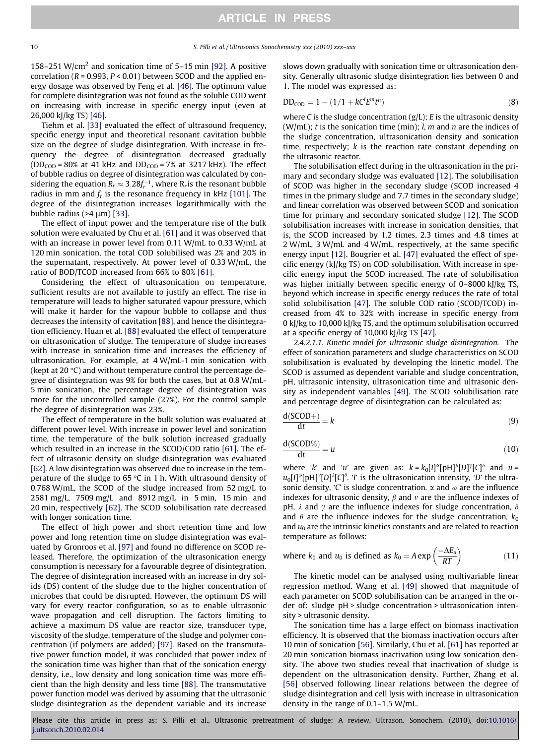158–251 W/cm<sup>2</sup> and sonication time of 5–15 min [\[92\].](#page-17-0) A positive correlation ( $R = 0.993$ ,  $P < 0.01$ ) between SCOD and the applied energy dosage was observed by Feng et al. [\[46\]](#page-16-0). The optimum value for complete disintegration was not found as the soluble COD went on increasing with increase in specific energy input (even at 26,000 kJ/kg TS) [\[46\].](#page-16-0)

Tiehm et al. [\[33\]](#page-16-0) evaluated the effect of ultrasound frequency, specific energy input and theoretical resonant cavitation bubble size on the degree of sludge disintegration. With increase in frequency the degree of disintegration decreased gradually ( $DD<sub>CD</sub> = 80%$  at 41 kHz and  $DD<sub>CD</sub> = 7%$  at 3217 kHz). The effect of bubble radius on degree of disintegration was calculated by considering the equation  $R_r \approx 3.28 f_r^{-1}$ , where  $R_r$ is the resonant bubble radius in mm and  $f_r$  is the resonance frequency in kHz [\[101\]](#page-17-0). The degree of the disintegration increases logarithmically with the bubble radius  $(>4 \mu m)$  [\[33\].](#page-16-0)

The effect of input power and the temperature rise of the bulk solution were evaluated by Chu et al. [\[61\]](#page-17-0) and it was observed that with an increase in power level from 0.11 W/mL to 0.33 W/mL at 120 min sonication, the total COD solubilised was 2% and 20% in the supernatant, respectively. At power level of 0.33 W/mL, the ratio of BOD/TCOD increased from 66% to 80% [\[61\]](#page-17-0).

Considering the effect of ultrasonication on temperature, sufficient results are not available to justify an effect. The rise in temperature will leads to higher saturated vapour pressure, which will make it harder for the vapour bubble to collapse and thus decreases the intensity of cavitation [\[88\],](#page-17-0) and hence the disintegration efficiency. Huan et al. [\[88\]](#page-17-0) evaluated the effect of temperature on ultrasonication of sludge. The temperature of sludge increases with increase in sonication time and increases the efficiency of ultrasonication. For example, at 4 W/mL-1 min sonication with (kept at 20 $\degree$ C) and without temperature control the percentage degree of disintegration was 9% for both the cases, but at 0.8 W/mL-5 min sonication, the percentage degree of disintegration was more for the uncontrolled sample (27%). For the control sample the degree of disintegration was 23%.

The effect of temperature in the bulk solution was evaluated at different power level. With increase in power level and sonication time, the temperature of the bulk solution increased gradually which resulted in an increase in the SCOD/COD ratio [\[61\]](#page-17-0). The effect of ultrasonic density on sludge disintegration was evaluated [\[62\]](#page-17-0). A low disintegration was observed due to increase in the temperature of the sludge to 65  $\degree$ C in 1 h. With ultrasound density of 0.768 W/mL, the SCOD of the sludge increased from 52 mg/L to 2581 mg/L, 7509 mg/L and 8912 mg/L in 5 min, 15 min and 20 min, respectively [\[62\]](#page-17-0). The SCOD solubilisation rate decreased with longer sonication time.

The effect of high power and short retention time and low power and long retention time on sludge disintegration was evaluated by Gronroos et al. [\[97\]](#page-17-0) and found no difference on SCOD released. Therefore, the optimization of the ultrasonication energy consumption is necessary for a favourable degree of disintegration. The degree of disintegration increased with an increase in dry solids (DS) content of the sludge due to the higher concentration of microbes that could be disrupted. However, the optimum DS will vary for every reactor configuration, so as to enable ultrasonic wave propagation and cell disruption. The factors limiting to achieve a maximum DS value are reactor size, transducer type, viscosity of the sludge, temperature of the sludge and polymer concentration (if polymers are added) [\[97\].](#page-17-0) Based on the transmutative power function model, it was concluded that power index of the sonication time was higher than that of the sonication energy density, i.e., low density and long sonication time was more efficient than the high density and less time [\[88\]](#page-17-0). The transmutative power function model was derived by assuming that the ultrasonic sludge disintegration as the dependent variable and its increase

slows down gradually with sonication time or ultrasonication density. Generally ultrasonic sludge disintegration lies between 0 and 1. The model was expressed as:

$$
DD_{\rm COD} = 1 - (1/1 + kC^{l}E^{m}t^{n})
$$
\n(8)

where C is the sludge concentration  $(g/L)$ ; E is the ultrasonic density (W/mL); t is the sonication time (min); l, m and n are the indices of the sludge concentration, ultrasonication density and sonication time, respectively; k is the reaction rate constant depending on the ultrasonic reactor.

The solubilisation effect during in the ultrasonication in the primary and secondary sludge was evaluated [\[12\]](#page-16-0). The solubilisation of SCOD was higher in the secondary sludge (SCOD increased 4 times in the primary sludge and 7.7 times in the secondary sludge) and linear correlation was observed between SCOD and sonication time for primary and secondary sonicated sludge [\[12\].](#page-16-0) The SCOD solubilisation increases with increase in sonication densities, that is, the SCOD increased by 1.2 times, 2.3 times and 4.8 times at 2 W/mL, 3 W/mL and 4 W/mL, respectively, at the same specific energy input [\[12\].](#page-16-0) Bougrier et al. [\[47\]](#page-16-0) evaluated the effect of specific energy (kJ/kg TS) on COD solubilisation. With increase in specific energy input the SCOD increased. The rate of solubilisation was higher initially between specific energy of 0–8000 kJ/kg TS, beyond which increase in specific energy reduces the rate of total solid solubilisation [\[47\].](#page-16-0) The soluble COD ratio (SCOD/TCOD) increased from 4% to 32% with increase in specific energy from 0 kJ/kg to 10,000 kJ/kg TS, and the optimum solubilisation occurred at a specific energy of 10,000 kJ/kg TS [\[47\].](#page-16-0)

2.4.2.1.1. Kinetic model for ultrasonic sludge disintegration. The effect of sonication parameters and sludge characteristics on SCOD solubilisation is evaluated by developing the kinetic model. The SCOD is assumed as dependent variable and sludge concentration, pH, ultrasonic intensity, ultrasonication time and ultrasonic density as independent variables [\[49\]](#page-16-0). The SCOD solubilisation rate and percentage degree of disintegration can be calculated as:

$$
\frac{d(SCOD+)}{dt} = k \tag{9}
$$

$$
\frac{d(SCOD\%)}{dt} = u \tag{10}
$$

where 'k' and 'u' are given as:  $k = k_0[I]^{\alpha}[pH]^{\beta}[D]^{\gamma}[C]^{\delta}$  and  $u =$  $u_0[I]^\varphi[{\rm pH}]^\nu[D]^{\lambda}[C]^\theta$ . '*I*' is the ultrasonication intensity, '*D*' the ultrasonic density, 'C' is sludge concentration.  $\alpha$  and  $\varphi$  are the influence indexes for ultrasonic density,  $\beta$  and  $\nu$  are the influence indexes of pH,  $\lambda$  and  $\gamma$  are the influence indexes for sludge concentration,  $\delta$ and  $\theta$  are the influence indexes for the sludge concentration,  $k_0$ and  $u_0$  are the intrinsic kinetics constants and are related to reaction temperature as follows:

where 
$$
k_0
$$
 and  $u_0$  is defined as  $k_0 = A \exp\left(\frac{-\Delta E_a}{RT}\right)$  (11)

The kinetic model can be analysed using multivariable linear regression method. Wang et al. [\[49\]](#page-16-0) showed that magnitude of each parameter on SCOD solubilisation can be arranged in the order of: sludge pH > sludge concentration > ultrasonication intensity > ultrasonic density.

The sonication time has a large effect on biomass inactivation efficiency. It is observed that the biomass inactivation occurs after 10 min of sonication [\[56\]](#page-17-0). Similarly, Chu et al. [\[61\]](#page-17-0) has reported at 20 min sonication biomass inactivation using low sonication density. The above two studies reveal that inactivation of sludge is dependent on the ultrasonication density. Further, Zhang et al. [\[56\]](#page-17-0) observed following linear relations between the degree of sludge disintegration and cell lysis with increase in ultrasonication density in the range of 0.1–1.5 W/mL.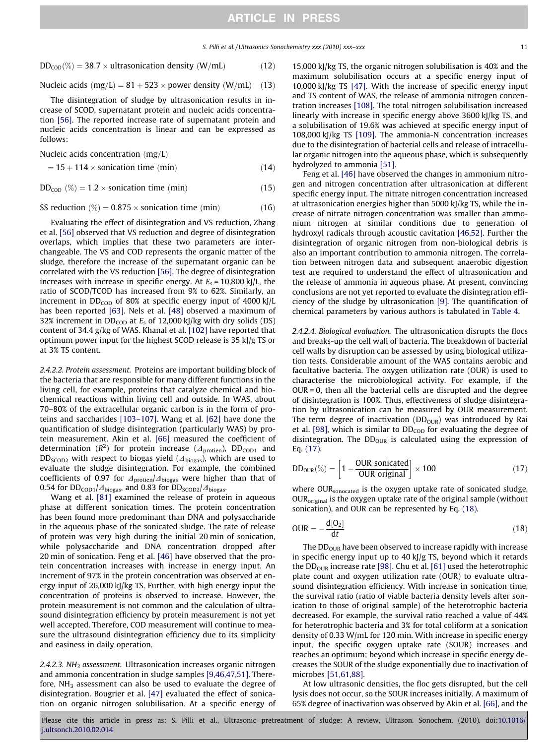$DD_{\text{con}}(\%) = 38.7 \times$  ultrasonication density  $(W/\text{mL})$  (12)

$$
Nucleic acids (mg/L) = 81 + 523 \times power density (W/mL) (13)
$$

The disintegration of sludge by ultrasonication results in increase of SCOD, supernatant protein and nucleic acids concentration [\[56\].](#page-17-0) The reported increase rate of supernatant protein and nucleic acids concentration is linear and can be expressed as follows:

Nucleic acids concentration  $(mg/L)$ 

 $= 15 + 114 \times$  sonication time (min) (14)

 $DD_{\text{COD}}$  (%) = 1.2  $\times$  sonication time (min) (15)

SS reduction  $\left(\% \right) = 0.875 \times$  sonication time (min) (16)

Evaluating the effect of disintegration and VS reduction, Zhang et al. [\[56\]](#page-17-0) observed that VS reduction and degree of disintegration overlaps, which implies that these two parameters are interchangeable. The VS and COD represents the organic matter of the sludge, therefore the increase of the supernatant organic can be correlated with the VS reduction [\[56\]](#page-17-0). The degree of disintegration increases with increase in specific energy. At  $E_s = 10,800 \text{ kJ/L}$ , the ratio of SCOD/TCOD has increased from 9% to 62%. Similarly, an increment in  $DD_{\text{COD}}$  of 80% at specific energy input of 4000 kJ/L has been reported [\[63\].](#page-17-0) Nels et al. [\[48\]](#page-16-0) observed a maximum of 32% increment in DD<sub>COD</sub> at  $E_s$  of 12,000 kJ/kg with dry solids (DS) content of 34.4 g/kg of WAS. Khanal et al. [\[102\]](#page-17-0) have reported that optimum power input for the highest SCOD release is 35 kJ/g TS or at 3% TS content.

2.4.2.2. Protein assessment. Proteins are important building block of the bacteria that are responsible for many different functions in the living cell, for example, proteins that catalyze chemical and biochemical reactions within living cell and outside. In WAS, about 70–80% of the extracellular organic carbon is in the form of proteins and saccharides [\[103–107\]](#page-17-0). Wang et al. [\[62\]](#page-17-0) have done the quantification of sludge disintegration (particularly WAS) by protein measurement. Akin et al. [\[66\]](#page-17-0) measured the coefficient of determination ( $R^2$ ) for protein increase ( $\Delta_{\rm protein}$ ), DD<sub>COD1</sub> and  $DD<sub>SCOD2</sub>$  with respect to biogas yield ( $\Delta<sub>biogas</sub>$ ), which are used to evaluate the sludge disintegration. For example, the combined coefficients of 0.97 for  $\Delta_{\text{protein}}/\Delta_{\text{biogas}}$  were higher than that of 0.54 for  $DD_{\text{COD1}}/ \Delta_{\text{biogas}}$ , and 0.83 for  $DD_{\text{SCOD2}}/ \Delta_{\text{biogas}}$ .

Wang et al. [\[81\]](#page-17-0) examined the release of protein in aqueous phase at different sonication times. The protein concentration has been found more predominant than DNA and polysaccharide in the aqueous phase of the sonicated sludge. The rate of release of protein was very high during the initial 20 min of sonication, while polysaccharide and DNA concentration dropped after 20 min of sonication. Feng et al. [\[46\]](#page-16-0) have observed that the protein concentration increases with increase in energy input. An increment of 97% in the protein concentration was observed at energy input of 26,000 kJ/kg TS. Further, with high energy input the concentration of proteins is observed to increase. However, the protein measurement is not common and the calculation of ultrasound disintegration efficiency by protein measurement is not yet well accepted. Therefore, COD measurement will continue to measure the ultrasound disintegration efficiency due to its simplicity and easiness in daily operation.

2.4.2.3.  $NH<sub>3</sub>$  assessment. Ultrasonication increases organic nitrogen and ammonia concentration in sludge samples [\[9,46,47,51\].](#page-16-0) Therefore,  $NH<sub>3</sub>$  assessment can also be used to evaluate the degree of disintegration. Bougrier et al. [\[47\]](#page-16-0) evaluated the effect of sonication on organic nitrogen solubilisation. At a specific energy of 15,000 kJ/kg TS, the organic nitrogen solubilisation is 40% and the maximum solubilisation occurs at a specific energy input of 10,000 kJ/kg TS [\[47\].](#page-16-0) With the increase of specific energy input and TS content of WAS, the release of ammonia nitrogen concentration increases [\[108\]](#page-17-0). The total nitrogen solubilisation increased linearly with increase in specific energy above 3600 kJ/kg TS, and a solubilisation of 19.6% was achieved at specific energy input of 108,000 kJ/kg TS [\[109\]](#page-17-0). The ammonia-N concentration increases due to the disintegration of bacterial cells and release of intracellular organic nitrogen into the aqueous phase, which is subsequently hydrolyzed to ammonia [\[51\].](#page-16-0)

Feng et al. [\[46\]](#page-16-0) have observed the changes in ammonium nitrogen and nitrogen concentration after ultrasonication at different specific energy input. The nitrate nitrogen concentration increased at ultrasonication energies higher than 5000 kJ/kg TS, while the increase of nitrate nitrogen concentration was smaller than ammonium nitrogen at similar conditions due to generation of hydroxyl radicals through acoustic cavitation [\[46,52\]](#page-16-0). Further the disintegration of organic nitrogen from non-biological debris is also an important contribution to ammonia nitrogen. The correlation between nitrogen data and subsequent anaerobic digestion test are required to understand the effect of ultrasonication and the release of ammonia in aqueous phase. At present, convincing conclusions are not yet reported to evaluate the disintegration efficiency of the sludge by ultrasonication [\[9\].](#page-16-0) The quantification of chemical parameters by various authors is tabulated in [Table 4](#page-11-0).

2.4.2.4. Biological evaluation. The ultrasonication disrupts the flocs and breaks-up the cell wall of bacteria. The breakdown of bacterial cell walls by disruption can be assessed by using biological utilization tests. Considerable amount of the WAS contains aerobic and facultative bacteria. The oxygen utilization rate (OUR) is used to characterise the microbiological activity. For example, if the OUR = 0, then all the bacterial cells are disrupted and the degree of disintegration is 100%. Thus, effectiveness of sludge disintegration by ultrasonication can be measured by OUR measurement. The term degree of inactivation ( $DD<sub>OUR</sub>$ ) was introduced by Rai et al. [\[98\],](#page-17-0) which is similar to  $DD_{\text{COD}}$  for evaluating the degree of disintegration. The  $DD<sub>OUR</sub>$  is calculated using the expression of Eq. (17).

$$
DD_{\text{OUR}}(\%) = \left[1 - \frac{\text{OUR sonicated}}{\text{OUR original}}\right] \times 100\tag{17}
$$

where OUR<sub>sonocated</sub> is the oxygen uptake rate of sonicated sludge, OURoriginal is the oxygen uptake rate of the original sample (without sonication), and OUR can be represented by Eq. (18).

$$
OUR = -\frac{d[O_2]}{dt} \tag{18}
$$

The  $DD<sub>OUR</sub>$  have been observed to increase rapidly with increase in specific energy input up to 40 kJ/g TS, beyond which it retards the DD<sub>OUR</sub> increase rate [\[98\].](#page-17-0) Chu et al. [\[61\]](#page-17-0) used the heterotrophic plate count and oxygen utilization rate (OUR) to evaluate ultrasound disintegration efficiency. With increase in sonication time, the survival ratio (ratio of viable bacteria density levels after sonication to those of original sample) of the heterotrophic bacteria decreased. For example, the survival ratio reached a value of 44% for heterotrophic bacteria and 3% for total coliform at a sonication density of 0.33 W/mL for 120 min. With increase in specific energy input, the specific oxygen uptake rate (SOUR) increases and reaches an optimum; beyond which increase in specific energy decreases the SOUR of the sludge exponentially due to inactivation of microbes [\[51,61,88\].](#page-16-0)

At low ultrasonic densities, the floc gets disrupted, but the cell lysis does not occur, so the SOUR increases initially. A maximum of 65% degree of inactivation was observed by Akin et al. [\[66\]](#page-17-0), and the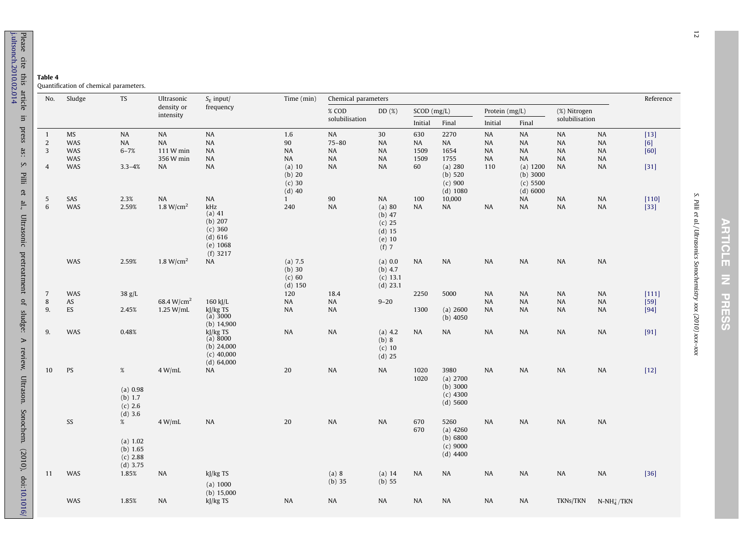<span id="page-11-0"></span>

| Table 4                          |
|----------------------------------|
| Ouantification of chemical paran |

| No.            | Sludge     | <b>TS</b>                                             | Ultrasonic              | $S_E$ input/                                                                 | Time (min)                                   | Chemical parameters |                                                                   |              |                                                            |                |                                              |                |              | Reference |
|----------------|------------|-------------------------------------------------------|-------------------------|------------------------------------------------------------------------------|----------------------------------------------|---------------------|-------------------------------------------------------------------|--------------|------------------------------------------------------------|----------------|----------------------------------------------|----------------|--------------|-----------|
|                |            |                                                       | density or<br>intensity | frequency                                                                    |                                              | % COD               | DD (%)                                                            | SCOD (mg/L)  |                                                            | Protein (mg/L) |                                              | (%) Nitrogen   |              |           |
|                |            |                                                       |                         |                                                                              |                                              | solubilisation      |                                                                   | Initial      | Final                                                      | Initial        | Final                                        | solubilisation |              |           |
| $\overline{1}$ | MS         | <b>NA</b>                                             | <b>NA</b>               | <b>NA</b>                                                                    | 1.6                                          | NA                  | 30                                                                | 630          | 2270                                                       | <b>NA</b>      | NA                                           | $\sf NA$       | NA           | $[13]$    |
| 2              | WAS        | NA                                                    | NA                      | NA                                                                           | 90                                           | $75 - 80$           | NA                                                                | NA           | NA                                                         | <b>NA</b>      | NA                                           | <b>NA</b>      | <b>NA</b>    | [6]       |
| $\sqrt{3}$     | WAS        | $6 - 7%$                                              | 111 W min               | NA                                                                           | <b>NA</b>                                    | NA                  | <b>NA</b>                                                         | 1509         | 1654                                                       | NA             | NA                                           | NA             | NA           | $[60]$    |
|                | WAS        |                                                       | 356 W min               | NA                                                                           | NA                                           | NA                  | <b>NA</b>                                                         | 1509         | 1755                                                       | <b>NA</b>      | NA                                           | NA             | <b>NA</b>    |           |
| $\overline{4}$ | WAS        | $3.3 - 4%$                                            | NA                      | $\sf NA$                                                                     | $(a)$ 10<br>$(b)$ 20<br>$(c)$ 30<br>$(d)$ 40 | NA                  | $\sf NA$                                                          | 60           | (a) 280<br>(b) 520<br>(c) 900<br>$(d)$ 1080                | 110            | (a) 1200<br>(b) 3000<br>(c) 5500<br>(d) 6000 | NA             | <b>NA</b>    | $[31]$    |
| 5              | SAS        | 2.3%                                                  | <b>NA</b>               | $\sf NA$                                                                     | $\mathbf{1}$                                 | 90                  | NA                                                                | 100          | 10,000                                                     |                | NA                                           | NA             | <b>NA</b>    | $[110]$   |
| $\,6\,$        | <b>WAS</b> | 2.59%                                                 | 1.8 W/cm <sup>2</sup>   | kHz<br>$(a)$ 41<br>(b) 207<br>(c) 360<br>(d) 616<br>$(e)$ 1068<br>$(f)$ 3217 | 240                                          | NA                  | (a) 80<br>$(b)$ 47<br>$(c)$ 25<br>$(d)$ 15<br>$(e)$ 10<br>$(f)$ 7 | NA           | <b>NA</b>                                                  | NA             | <b>NA</b>                                    | $\sf NA$       | <b>NA</b>    | $[33]$    |
|                | <b>WAS</b> | 2.59%                                                 | 1.8 W/cm <sup>2</sup>   | NA                                                                           | (a) 7.5<br>$(b)$ 30<br>$(c)$ 60<br>(d) 150   |                     | (a) 0.0<br>$(b)$ 4.7<br>(c) 13.1<br>$(d)$ 23.1                    | NA           | $\sf NA$                                                   | <b>NA</b>      | <b>NA</b>                                    | NA             | NA           |           |
| $\overline{7}$ | <b>WAS</b> | $38$ g/L                                              |                         |                                                                              | 120                                          | 18.4                |                                                                   | 2250         | 5000                                                       | <b>NA</b>      | NA                                           | <b>NA</b>      | <b>NA</b>    | [111]     |
| 8              | AS         |                                                       | 68.4 W/cm <sup>2</sup>  | 160 kJ/L                                                                     | NA                                           | NA                  | $9 - 20$                                                          |              |                                                            | <b>NA</b>      | NA                                           | <b>NA</b>      | <b>NA</b>    | $[59]$    |
| 9.             | ${\sf ES}$ | 2.45%                                                 | 1.25 W/mL               | kJ/kg TS<br>$(a)$ 3000<br>(b) 14,900                                         | NA                                           | NA                  |                                                                   | 1300         | (a) 2600<br>$(b)$ 4050                                     | <b>NA</b>      | NA                                           | NA             | <b>NA</b>    | $[94]$    |
| 9.             | WAS        | 0.48%                                                 |                         | kJ/kg TS<br>$(a)$ 8000<br>(b) 24,000<br>$(c)$ 40,000<br>(d) 64,000           | <b>NA</b>                                    | NA                  | (a) 4.2<br>(b) 8<br>$(c)$ 10<br>$(d)$ 25                          | NA           | <b>NA</b>                                                  | <b>NA</b>      | NA                                           | NA             | NA           | $[91]$    |
| 10             | PS         | $\%$                                                  | 4 W/mL                  | NA                                                                           | 20                                           | $\sf NA$            | NA                                                                | 1020<br>1020 | 3980<br>$(a)$ 2700<br>(b) 3000                             | <b>NA</b>      | NA                                           | NA             | <b>NA</b>    | $[12]$    |
|                |            | (a) 0.98<br>(b) 1.7<br>$(c)$ 2.6<br>$(d)$ 3.6         |                         |                                                                              |                                              |                     |                                                                   |              | $(c)$ 4300<br>(d) 5600                                     |                |                                              |                |              |           |
|                | SS         | %<br>(a) 1.02<br>(b) 1.65<br>$(c)$ 2.88<br>$(d)$ 3.75 | 4 W/mL                  | NA                                                                           | 20                                           | NA                  | NA                                                                | 670<br>670   | 5260<br>$(a)$ 4260<br>(b) 6800<br>$(c)$ 9000<br>$(d)$ 4400 | <b>NA</b>      | <b>NA</b>                                    | $\sf NA$       | <b>NA</b>    |           |
| 11             | WAS        | 1.85%                                                 | NA                      | kJ/kg TS                                                                     |                                              | (a) 8               | $(a)$ 14                                                          | NA           | NA                                                         | <b>NA</b>      | NA                                           | NA             | NA           | $[36]$    |
|                |            |                                                       |                         | (a) 1000<br>(b) 15,000                                                       |                                              | $(b)$ 35            | $(b)$ 55                                                          |              |                                                            |                |                                              |                |              |           |
|                | <b>WAS</b> | 1.85%                                                 | NA                      | kJ/kg TS                                                                     | NA                                           | NA                  | NA                                                                | NA           | NA                                                         | NA             | NA                                           | TKNs/TKN       | $N-NH4+/TKN$ |           |

ARTICLE IN PRESS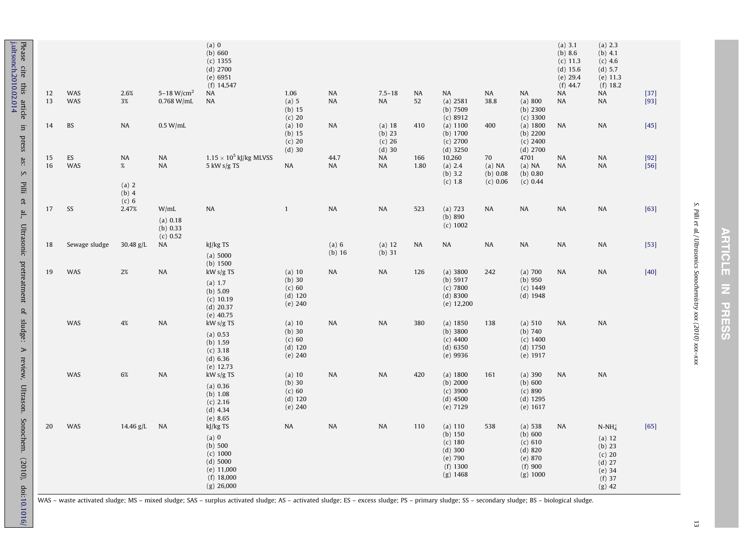| 12<br>13 | WAS<br>WAS    | 2.6%<br>3%                     | 5-18 W/cm <sup>2</sup><br>$0.768$ W/mL | (e) 6951<br>$(f)$ 14,547<br><b>NA</b><br>NA                                                              | 1.06<br>(a) 5                                            | $\sf NA$<br>NA    | $7.5 - 18$<br>NA                             | NA<br>52    | NA<br>(a) 2581                                                                      | NA<br>38.8                             | NA<br>(a) 800                                                                  | $(e)$ 29.4<br>$(f)$ 44.7<br><b>NA</b><br>NA | $(e)$ 11.3<br>$(f)$ 18.2<br>$\sf NA$<br>NA                                                  | $[37]$<br>$[93]$ |
|----------|---------------|--------------------------------|----------------------------------------|----------------------------------------------------------------------------------------------------------|----------------------------------------------------------|-------------------|----------------------------------------------|-------------|-------------------------------------------------------------------------------------|----------------------------------------|--------------------------------------------------------------------------------|---------------------------------------------|---------------------------------------------------------------------------------------------|------------------|
|          |               |                                |                                        |                                                                                                          | $(b)$ 15<br>$(c)$ 20                                     |                   |                                              |             | (b) 7509<br>(c) 8912                                                                |                                        | (b) 2300<br>$(c)$ 3300                                                         |                                             |                                                                                             |                  |
| 14       | BS            | NA                             | 0.5 W/mL                               |                                                                                                          | $(a)$ 10<br>$(b)$ 15<br>$(c)$ 20<br>$(d)$ 30             | $\sf NA$          | $(a)$ 18<br>$(b)$ 23<br>$(c)$ 26<br>$(d)$ 30 | 410         | (a) 1100<br>(b) 1700<br>$(c)$ 2700<br>$(d)$ 3250                                    | 400                                    | (a) 1800<br>(b) 2200<br>(c) 2400<br>$(d)$ 2700                                 | <b>NA</b>                                   | $\sf NA$                                                                                    | $[45]$           |
| 15<br>16 | ES<br>WAS     | NA<br>$\%$<br>(a) 2<br>$(b)$ 4 | NA<br>NA                               | $1.15 \times 10^5$ kJ/kg MLVSS<br>5 kW s/g TS                                                            | $\sf NA$                                                 | 44.7<br>NA        | $\sf NA$<br>$\sf NA$                         | 166<br>1.80 | 10,260<br>(a) 2.4<br>(b) 3.2<br>(c) 1.8                                             | 70<br>$(a)$ NA<br>(b) 0.08<br>(c) 0.06 | 4701<br>(a) NA<br>(b) 0.80<br>(c) 0.44                                         | NA<br><b>NA</b>                             | NA<br>NA                                                                                    | $[92]$<br>$[56]$ |
| 17       | SS            | (c) 6<br>2.47%                 | W/mL<br>(a) 0.18<br>(b) 0.33           | <b>NA</b>                                                                                                | $\mathbf{1}$                                             | <b>NA</b>         | <b>NA</b>                                    | 523         | (a) 723<br>(b) 890<br>$(c)$ 1002                                                    | NA                                     | NA                                                                             | <b>NA</b>                                   | NA                                                                                          | $[63]$           |
| 18       | Sewage sludge | $30.48$ g/L                    | (c) 0.52<br>NA                         | kJ/kg TS<br>(a) 5000                                                                                     |                                                          | (a) 6<br>$(b)$ 16 | $(a)$ 12<br>$(b)$ 31                         | NA          | NA                                                                                  | NA                                     | NA                                                                             | NA                                          | NA                                                                                          | $[53]$           |
| 19       | WAS           | $2\%$                          | NA                                     | (b) 1500<br>kW s/g TS<br>(a) 1.7<br>(b) 5.09<br>$(c)$ 10.19<br>$(d)$ 20.37<br>$(e)$ 40.75                | $(a)$ 10<br>$(b)$ 30<br>$(c)$ 60<br>$(d)$ 120<br>(e) 240 | NA                | $\sf NA$                                     | 126         | (a) 3800<br>(b) 5917<br>$(c)$ 7800<br>(d) 8300<br>$(e)$ 12,200                      | 242                                    | (a) 700<br>$(b)$ 950<br>$(c)$ 1449<br>$(d)$ 1948                               | NA                                          | NA                                                                                          | $[40]$           |
|          | WAS           | 4%                             | NA                                     | kW s/g TS<br>(a) 0.53<br>(b) 1.59<br>$(c)$ 3.18<br>(d) 6.36<br>$(e)$ 12.73                               | $(a)$ 10<br>$(b)$ 30<br>$(c)$ 60<br>$(d)$ 120<br>(e) 240 | <b>NA</b>         | NA                                           | 380         | (a) 1850<br>(b) 3800<br>$(c)$ 4400<br>(d) 6350<br>$(e)$ 9936                        | 138                                    | (a) 510<br>(b) 740<br>(c) 1400<br>$(d)$ 1750<br>$(e)$ 1917                     | <b>NA</b>                                   | NA                                                                                          |                  |
|          | WAS           | 6%                             | NA                                     | $kW s/g$ TS<br>(a) 0.36<br>(b) 1.08<br>$(c)$ 2.16<br>$(d)$ 4.34<br>(e) 8.65                              | $(a)$ 10<br>$(b)$ 30<br>$(c)$ 60<br>(d) 120<br>(e) 240   | NA                | $\sf NA$                                     | 420         | (a) 1800<br>(b) 2000<br>$(c)$ 3900<br>$(d)$ 4500<br>$(e)$ 7129                      | 161                                    | (a) 390<br>(b) 600<br>(c) 890<br>$(d)$ 1295<br>$(e)$ 1617                      | NA                                          | NA                                                                                          |                  |
| 20       | WAS           | 14.46 g/L                      | NA                                     | kJ/kg TS<br>$(a)$ 0<br>(b) 500<br>$(c)$ 1000<br>(d) 5000<br>$(e)$ 11,000<br>$(f)$ 18,000<br>$(g)$ 26,000 | $\sf NA$                                                 | NA                | NA                                           | 110         | (a) 110<br>(b) 150<br>(c) 180<br>$(d)$ 300<br>$(e)$ 790<br>$(f)$ 1300<br>$(g)$ 1468 | 538                                    | (a) 538<br>(b) 600<br>(c) 610<br>(d) 820<br>(e) 870<br>$(f)$ 900<br>$(g)$ 1000 | NA                                          | $N-NH4$<br>$(a)$ 12<br>$(b)$ 23<br>$(c)$ 20<br>$(d)$ 27<br>$(e)$ 34<br>$(f)$ 37<br>$(g)$ 42 | $[65]$           |

S. Pilli et al. / Ultrasonics Sonochemistry xxx (2010) xxx–xxx

S. Pilli et al./Ultrasonics Sonochemistry xxx (2010) xxx-xxx

 $\Xi$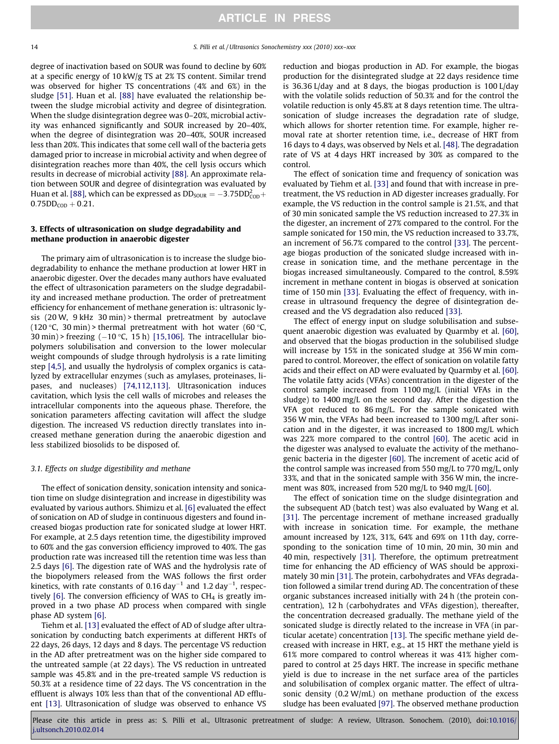degree of inactivation based on SOUR was found to decline by 60% at a specific energy of 10 kW/g TS at 2% TS content. Similar trend was observed for higher TS concentrations (4% and 6%) in the sludge [\[51\]](#page-16-0). Huan et al. [\[88\]](#page-17-0) have evaluated the relationship between the sludge microbial activity and degree of disintegration. When the sludge disintegration degree was 0–20%, microbial activity was enhanced significantly and SOUR increased by 20–40%, when the degree of disintegration was 20–40%, SOUR increased less than 20%. This indicates that some cell wall of the bacteria gets damaged prior to increase in microbial activity and when degree of disintegration reaches more than 40%, the cell lysis occurs which results in decrease of microbial activity [\[88\].](#page-17-0) An approximate relation between SOUR and degree of disintegration was evaluated by Huan et al. [\[88\]](#page-17-0), which can be expressed as  $\text{DD}_{\text{SOUR}} = -3.75 \text{DD}_{\text{COD}}^2 +$  $0.75DD_{\text{con}} + 0.21.$ 

#### 3. Effects of ultrasonication on sludge degradability and methane production in anaerobic digester

The primary aim of ultrasonication is to increase the sludge biodegradability to enhance the methane production at lower HRT in anaerobic digester. Over the decades many authors have evaluated the effect of ultrasonication parameters on the sludge degradability and increased methane production. The order of pretreatment efficiency for enhancement of methane generation is: ultrasonic lysis (20 W, 9 kHz 30 min) > thermal pretreatment by autoclave (120 °C, 30 min) > thermal pretreatment with hot water (60 °C, 30 min) > freezing (-10 C, 15 h) [\[15,106\].](#page-16-0) The intracellular biopolymers solubilisation and conversion to the lower molecular weight compounds of sludge through hydrolysis is a rate limiting step [\[4,5\],](#page-16-0) and usually the hydrolysis of complex organics is catalyzed by extracellular enzymes (such as amylases, proteinases, lipases, and nucleases) [\[74,112,113\].](#page-17-0) Ultrasonication induces cavitation, which lysis the cell walls of microbes and releases the intracellular components into the aqueous phase. Therefore, the sonication parameters affecting cavitation will affect the sludge digestion. The increased VS reduction directly translates into increased methane generation during the anaerobic digestion and less stabilized biosolids to be disposed of.

#### 3.1. Effects on sludge digestibility and methane

The effect of sonication density, sonication intensity and sonication time on sludge disintegration and increase in digestibility was evaluated by various authors. Shimizu et al. [\[6\]](#page-16-0) evaluated the effect of sonication on AD of sludge in continuous digesters and found increased biogas production rate for sonicated sludge at lower HRT. For example, at 2.5 days retention time, the digestibility improved to 60% and the gas conversion efficiency improved to 40%. The gas production rate was increased till the retention time was less than 2.5 days [\[6\]](#page-16-0). The digestion rate of WAS and the hydrolysis rate of the biopolymers released from the WAS follows the first order kinetics, with rate constants of 0.16 day $^{-1}$  and 1.2 day $^{-1}$ , respectively  $[6]$ . The conversion efficiency of WAS to CH<sub>4</sub> is greatly improved in a two phase AD process when compared with single phase AD system [\[6\]](#page-16-0).

Tiehm et al. [\[13\]](#page-16-0) evaluated the effect of AD of sludge after ultrasonication by conducting batch experiments at different HRTs of 22 days, 26 days, 12 days and 8 days. The percentage VS reduction in the AD after pretreatment was on the higher side compared to the untreated sample (at 22 days). The VS reduction in untreated sample was 45.8% and in the pre-treated sample VS reduction is 50.3% at a residence time of 22 days. The VS concentration in the effluent is always 10% less than that of the conventional AD effluent [\[13\]](#page-16-0). Ultrasonication of sludge was observed to enhance VS

reduction and biogas production in AD. For example, the biogas production for the disintegrated sludge at 22 days residence time is 36.36 L/day and at 8 days, the biogas production is 100 L/day with the volatile solids reduction of 50.3% and for the control the volatile reduction is only 45.8% at 8 days retention time. The ultrasonication of sludge increases the degradation rate of sludge, which allows for shorter retention time. For example, higher removal rate at shorter retention time, i.e., decrease of HRT from 16 days to 4 days, was observed by Nels et al. [\[48\].](#page-16-0) The degradation rate of VS at 4 days HRT increased by 30% as compared to the control.

The effect of sonication time and frequency of sonication was evaluated by Tiehm et al. [\[33\]](#page-16-0) and found that with increase in pretreatment, the VS reduction in AD digester increases gradually. For example, the VS reduction in the control sample is 21.5%, and that of 30 min sonicated sample the VS reduction increased to 27.3% in the digester, an increment of 27% compared to the control. For the sample sonicated for 150 min, the VS reduction increased to 33.7%, an increment of 56.7% compared to the control [\[33\].](#page-16-0) The percentage biogas production of the sonicated sludge increased with increase in sonication time, and the methane percentage in the biogas increased simultaneously. Compared to the control, 8.59% increment in methane content in biogas is observed at sonication time of 150 min [\[33\]](#page-16-0). Evaluating the effect of frequency, with increase in ultrasound frequency the degree of disintegration decreased and the VS degradation also reduced [\[33\].](#page-16-0)

The effect of energy input on sludge solubilisation and subsequent anaerobic digestion was evaluated by Quarmby et al. [\[60\],](#page-17-0) and observed that the biogas production in the solubilised sludge will increase by 15% in the sonicated sludge at 356 W min compared to control. Moreover, the effect of sonication on volatile fatty acids and their effect on AD were evaluated by Quarmby et al. [\[60\].](#page-17-0) The volatile fatty acids (VFAs) concentration in the digester of the control sample increased from 1100 mg/L (initial VFAs in the sludge) to 1400 mg/L on the second day. After the digestion the VFA got reduced to 86 mg/L. For the sample sonicated with 356 W min, the VFAs had been increased to 1300 mg/L after sonication and in the digester, it was increased to 1800 mg/L which was 22% more compared to the control [\[60\]](#page-17-0). The acetic acid in the digester was analysed to evaluate the activity of the methanogenic bacteria in the digester [\[60\].](#page-17-0) The increment of acetic acid of the control sample was increased from 550 mg/L to 770 mg/L, only 33%, and that in the sonicated sample with 356 W min, the increment was 80%, increased from 520 mg/L to 940 mg/L [\[60\].](#page-17-0)

The effect of sonication time on the sludge disintegration and the subsequent AD (batch test) was also evaluated by Wang et al. [\[31\]](#page-16-0). The percentage increment of methane increased gradually with increase in sonication time. For example, the methane amount increased by 12%, 31%, 64% and 69% on 11th day, corresponding to the sonication time of 10 min, 20 min, 30 min and 40 min, respectively [\[31\]](#page-16-0). Therefore, the optimum pretreatment time for enhancing the AD efficiency of WAS should be approximately 30 min [\[31\]](#page-16-0). The protein, carbohydrates and VFAs degradation followed a similar trend during AD. The concentration of these organic substances increased initially with 24 h (the protein concentration), 12 h (carbohydrates and VFAs digestion), thereafter, the concentration decreased gradually. The methane yield of the sonicated sludge is directly related to the increase in VFA (in particular acetate) concentration [\[13\].](#page-16-0) The specific methane yield decreased with increase in HRT, e.g., at 15 HRT the methane yield is 61% more compared to control whereas it was 41% higher compared to control at 25 days HRT. The increase in specific methane yield is due to increase in the net surface area of the particles and solubilisation of complex organic matter. The effect of ultrasonic density (0.2 W/mL) on methane production of the excess sludge has been evaluated [\[97\].](#page-17-0) The observed methane production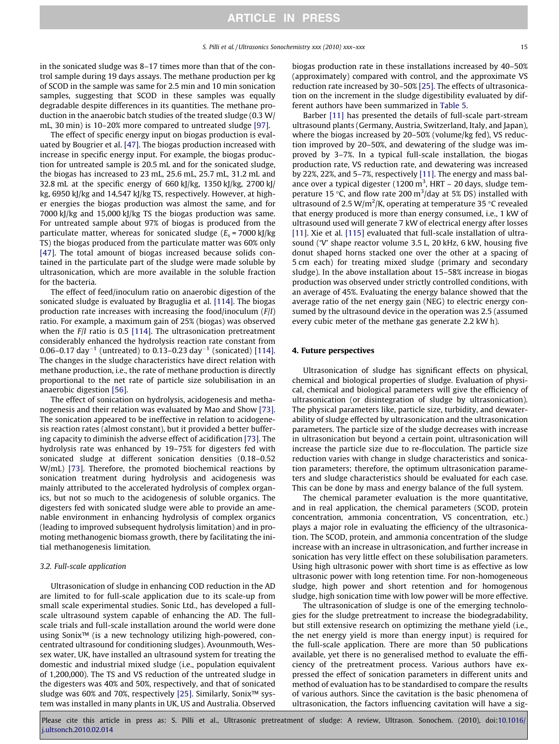in the sonicated sludge was 8–17 times more than that of the control sample during 19 days assays. The methane production per kg of SCOD in the sample was same for 2.5 min and 10 min sonication samples, suggesting that SCOD in these samples was equally degradable despite differences in its quantities. The methane production in the anaerobic batch studies of the treated sludge (0.3 W/ mL, 30 min) is 10–20% more compared to untreated sludge [\[97\]](#page-17-0).

The effect of specific energy input on biogas production is evaluated by Bougrier et al. [\[47\].](#page-16-0) The biogas production increased with increase in specific energy input. For example, the biogas production for untreated sample is 20.5 mL and for the sonicated sludge, the biogas has increased to 23 mL, 25.6 mL, 25.7 mL, 31.2 mL and 32.8 mL at the specific energy of 660 kJ/kg, 1350 kJ/kg, 2700 kJ/ kg, 6950 kJ/kg and 14,547 kJ/kg TS, respectively. However, at higher energies the biogas production was almost the same, and for 7000 kJ/kg and 15,000 kJ/kg TS the biogas production was same. For untreated sample about 97% of biogas is produced from the particulate matter, whereas for sonicated sludge  $(E_s = 7000 \text{ kJ/kg})$ TS) the biogas produced from the particulate matter was 60% only [\[47\].](#page-16-0) The total amount of biogas increased because solids contained in the particulate part of the sludge were made soluble by ultrasonication, which are more available in the soluble fraction for the bacteria.

The effect of feed/inoculum ratio on anaerobic digestion of the sonicated sludge is evaluated by Braguglia et al. [\[114\]](#page-17-0). The biogas production rate increases with increasing the food/inoculum  $(F/I)$ ratio. For example, a maximum gain of 25% (biogas) was observed when the F/I ratio is 0.5 [\[114\].](#page-17-0) The ultrasonication pretreatment considerably enhanced the hydrolysis reaction rate constant from 0.06–0.17 day $^{-1}$  (untreated) to 0.13–0.23 day $^{-1}$  (sonicated) [\[114\].](#page-17-0) The changes in the sludge characteristics have direct relation with methane production, i.e., the rate of methane production is directly proportional to the net rate of particle size solubilisation in an anaerobic digestion [\[56\].](#page-17-0)

The effect of sonication on hydrolysis, acidogenesis and methanogenesis and their relation was evaluated by Mao and Show [\[73\].](#page-17-0) The sonication appeared to be ineffective in relation to acidogenesis reaction rates (almost constant), but it provided a better buffering capacity to diminish the adverse effect of acidification [\[73\].](#page-17-0) The hydrolysis rate was enhanced by 19–75% for digesters fed with sonicated sludge at different sonication densities (0.18–0.52 W/mL) [\[73\]](#page-17-0). Therefore, the promoted biochemical reactions by sonication treatment during hydrolysis and acidogenesis was mainly attributed to the accelerated hydrolysis of complex organics, but not so much to the acidogenesis of soluble organics. The digesters fed with sonicated sludge were able to provide an amenable environment in enhancing hydrolysis of complex organics (leading to improved subsequent hydrolysis limitation) and in promoting methanogenic biomass growth, there by facilitating the initial methanogenesis limitation.

#### 3.2. Full-scale application

Ultrasonication of sludge in enhancing COD reduction in the AD are limited to for full-scale application due to its scale-up from small scale experimental studies. Sonic Ltd., has developed a fullscale ultrasound system capable of enhancing the AD. The fullscale trials and full-scale installation around the world were done using Sonix™ (is a new technology utilizing high-powered, concentrated ultrasound for conditioning sludges). Avounmouth, Wessex water, UK, have installed an ultrasound system for treating the domestic and industrial mixed sludge (i.e., population equivalent of 1,200,000). The TS and VS reduction of the untreated sludge in the digesters was 40% and 50%, respectively, and that of sonicated sludge was 60% and 70%, respectively [\[25\]](#page-16-0). Similarly, Sonix™ system was installed in many plants in UK, US and Australia. Observed biogas production rate in these installations increased by 40–50% (approximately) compared with control, and the approximate VS reduction rate increased by 30–50% [\[25\].](#page-16-0) The effects of ultrasonication on the increment in the sludge digestibility evaluated by different authors have been summarized in [Table 5.](#page-15-0)

Barber [\[11\]](#page-16-0) has presented the details of full-scale part-stream ultrasound plants (Germany, Austria, Switzerland, Italy, and Japan), where the biogas increased by 20–50% (volume/kg fed), VS reduction improved by 20–50%, and dewatering of the sludge was improved by 3–7%. In a typical full-scale installation, the biogas production rate, VS reduction rate, and dewatering was increased by 22%, 22%, and 5–7%, respectively [\[11\].](#page-16-0) The energy and mass balance over a typical digester (1200 m<sup>3</sup>, HRT – 20 days, sludge temperature 15 °C, and flow rate 200  $\mathrm{m}^3/\mathrm{day}$  at 5% DS) installed with ultrasound of 2.5 W/m<sup>2</sup>/K, operating at temperature 35 °C revealed that energy produced is more than energy consumed, i.e., 1 kW of ultrasound used will generate 7 kW of electrical energy after losses [\[11\]](#page-16-0). Xie et al. [\[115\]](#page-17-0) evaluated that full-scale installation of ultrasound ('V' shape reactor volume 3.5 L, 20 kHz, 6 kW, housing five donut shaped horns stacked one over the other at a spacing of 5 cm each) for treating mixed sludge (primary and secondary sludge). In the above installation about 15–58% increase in biogas production was observed under strictly controlled conditions, with an average of 45%. Evaluating the energy balance showed that the average ratio of the net energy gain (NEG) to electric energy consumed by the ultrasound device in the operation was 2.5 (assumed every cubic meter of the methane gas generate 2.2 kW h).

#### 4. Future perspectives

Ultrasonication of sludge has significant effects on physical, chemical and biological properties of sludge. Evaluation of physical, chemical and biological parameters will give the efficiency of ultrasonication (or disintegration of sludge by ultrasonication). The physical parameters like, particle size, turbidity, and dewaterability of sludge effected by ultrasonication and the ultrasonication parameters. The particle size of the sludge decreases with increase in ultrasonication but beyond a certain point, ultrasonication will increase the particle size due to re-flocculation. The particle size reduction varies with change in sludge characteristics and sonication parameters; therefore, the optimum ultrasonication parameters and sludge characteristics should be evaluated for each case. This can be done by mass and energy balance of the full system.

The chemical parameter evaluation is the more quantitative, and in real application, the chemical parameters (SCOD, protein concentration, ammonia concentration, VS concentration, etc.) plays a major role in evaluating the efficiency of the ultrasonication. The SCOD, protein, and ammonia concentration of the sludge increase with an increase in ultrasonication, and further increase in sonication has very little effect on these solubilisation parameters. Using high ultrasonic power with short time is as effective as low ultrasonic power with long retention time. For non-homogeneous sludge, high power and short retention and for homogenous sludge, high sonication time with low power will be more effective.

The ultrasonication of sludge is one of the emerging technologies for the sludge pretreatment to increase the biodegradability, but still extensive research on optimizing the methane yield (i.e., the net energy yield is more than energy input) is required for the full-scale application. There are more than 50 publications available, yet there is no generalised method to evaluate the efficiency of the pretreatment process. Various authors have expressed the effect of sonication parameters in different units and method of evaluation has to be standardised to compare the results of various authors. Since the cavitation is the basic phenomena of ultrasonication, the factors influencing cavitation will have a sig-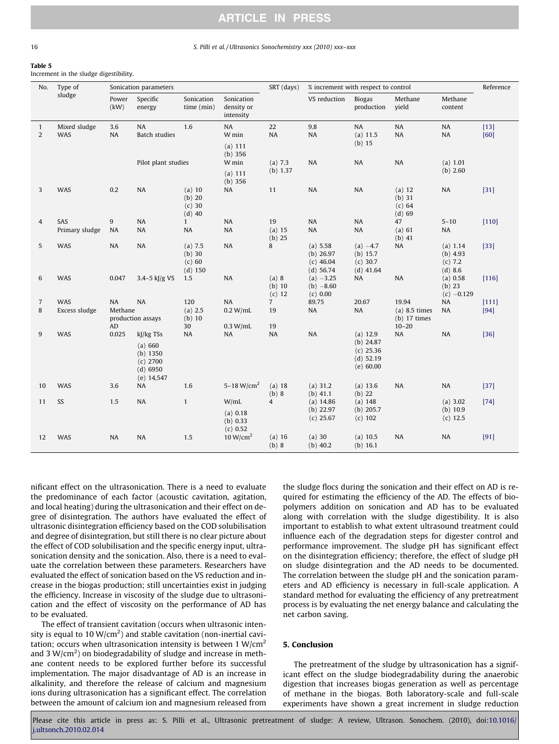#### <span id="page-15-0"></span>16 S. Pilli et al. / Ultrasonics Sonochemistry xxx (2010) xxx–xxx

#### Table 5

Increment in the sludge digestibility.

| No.                            | Type of                    |                  | Sonication parameters                                                        |                                              |                                          | SRT (days)                    | % increment with respect to control               |                                                                  |                                          |                                              | Reference      |
|--------------------------------|----------------------------|------------------|------------------------------------------------------------------------------|----------------------------------------------|------------------------------------------|-------------------------------|---------------------------------------------------|------------------------------------------------------------------|------------------------------------------|----------------------------------------------|----------------|
|                                | sludge                     | Power<br>(kW)    | Specific<br>energy                                                           | Sonication<br>time (min)                     | Sonication<br>density or<br>intensity    |                               | VS reduction                                      | <b>Biogas</b><br>production                                      | Methane<br>yield                         | Methane<br>content                           |                |
| $\mathbf{1}$<br>$\overline{2}$ | Mixed sludge<br><b>WAS</b> | 3.6<br><b>NA</b> | <b>NA</b><br><b>Batch studies</b>                                            | 1.6                                          | <b>NA</b><br>W min                       | 22<br>NA                      | 9.8<br>NA                                         | NA<br>(a) 11.5<br>$(b)$ 15                                       | NA<br>NA                                 | <b>NA</b><br><b>NA</b>                       | $[13]$<br>[60] |
|                                |                            |                  | Pilot plant studies                                                          |                                              | (a) 111<br>(b) 356<br>W min              | (a) 7.3                       | NA                                                | NA                                                               | <b>NA</b>                                | (a) 1.01                                     |                |
|                                |                            |                  |                                                                              |                                              |                                          | (b) 1.37                      |                                                   |                                                                  |                                          | (b) 2.60                                     |                |
| 3                              | WAS                        | 0.2              | NA                                                                           | (a) 10<br>$(b)$ 20<br>$(c)$ 30<br>$(d)$ 40   | NA                                       | 11                            | NA                                                | <b>NA</b>                                                        | (a) 12<br>$(b)$ 31<br>(c) 64<br>$(d)$ 69 | <b>NA</b>                                    | $[31]$         |
| $\overline{4}$                 | SAS                        | 9                | NA                                                                           | $\mathbf{1}$                                 | <b>NA</b>                                | 19                            | NA                                                | NA                                                               | 47                                       | $5 - 10$                                     | $[110]$        |
|                                | Primary sludge             | <b>NA</b>        | NA                                                                           | NA                                           | <b>NA</b>                                | $(a)$ 15<br>$(b)$ 25          | NA                                                | NA                                                               | (a) 61<br>$(b)$ 41                       | <b>NA</b>                                    |                |
| 5                              | <b>WAS</b>                 | <b>NA</b>        | <b>NA</b>                                                                    | (a) 7.5<br>$(b)$ 30<br>$(c)$ 60<br>$(d)$ 150 | NA                                       | 8                             | (a) 5.58<br>(b) 26.97<br>$(c)$ 46.04<br>(d) 56.74 | $(a) -4.7$<br>(b) 15.7<br>$(c)$ 30.7<br>$(d)$ 41.64              | NA                                       | (a) 1.14<br>$(b)$ 4.93<br>(c) 7.2<br>(d) 8.6 | $[33]$         |
| 6                              | WAS                        | 0.047            | 3.4-5 $k$ J/g VS                                                             | 1.5                                          | <b>NA</b>                                | (a) 8<br>$(b)$ 10<br>$(c)$ 12 | $(a) -3.25$<br>$(b) -8.60$<br>$(c)$ 0.00          | NA                                                               | <b>NA</b>                                | (a) 0.58<br>$(b)$ 23<br>$(c) -0.129$         | [116]          |
| $\overline{7}$                 | <b>WAS</b>                 | <b>NA</b>        | NA                                                                           | 120                                          | NA                                       | $\overline{7}$                | 89.75                                             | 20.67                                                            | 19.94                                    | <b>NA</b>                                    | [111]          |
| 8                              | Excess sludge              | Methane          | (a) 2.5<br>$(b)$ 10<br>production assays                                     |                                              | 0.2 W/mL                                 | 19                            | NA                                                | NA                                                               | $(a)$ 8.5 times<br>$(b)$ 17 times        | <b>NA</b>                                    | $[94]$         |
|                                |                            | AD               |                                                                              | 30                                           | 0.3 W/mL                                 | 19                            |                                                   |                                                                  | $10 - 20$                                |                                              |                |
| $9\,$                          | <b>WAS</b>                 | 0.025            | kJ/kg TSs<br>(a) 660<br>(b) 1350<br>$(c)$ 2700<br>$(d)$ 6950<br>$(e)$ 14,547 | NA                                           | <b>NA</b>                                | <b>NA</b>                     | NA                                                | (a) 12.9<br>(b) 24.87<br>$(c)$ 25.36<br>$(d)$ 52.19<br>(e) 60.00 | NA                                       | <b>NA</b>                                    | $[36]$         |
| 10                             | <b>WAS</b>                 | 3.6              | NA                                                                           | 1.6                                          | 5-18 W/cm <sup>2</sup>                   | $(a)$ 18<br>(b) 8             | (a) 31.2<br>$(b)$ 41.1                            | (a) 13.6<br>$(b)$ 22                                             | NA                                       | <b>NA</b>                                    | $[37]$         |
| 11                             | SS                         | 1.5              | NA                                                                           | $\mathbf{1}$                                 | W/mL<br>(a) 0.18<br>(b) 0.33<br>(c) 0.52 | $\overline{4}$                | (a) 14.86<br>$(b)$ 22.97<br>$(c)$ 25.67           | (a) 148<br>$(b)$ 205.7<br>(c) 102                                |                                          | (a) 3.02<br>$(b)$ 10.9<br>$(c)$ 12.5         | $[74]$         |
| 12                             | WAS                        | <b>NA</b>        | NA                                                                           | 1.5                                          | 10 W/cm <sup>2</sup>                     | $(a)$ 16<br>(b) 8             | (a) 30<br>(b) $40.2$                              | $(a)$ 10.5<br>(b) 16.1                                           | NA                                       | <b>NA</b>                                    | $[91]$         |

nificant effect on the ultrasonication. There is a need to evaluate the predominance of each factor (acoustic cavitation, agitation, and local heating) during the ultrasonication and their effect on degree of disintegration. The authors have evaluated the effect of ultrasonic disintegration efficiency based on the COD solubilisation and degree of disintegration, but still there is no clear picture about the effect of COD solubilisation and the specific energy input, ultrasonication density and the sonication. Also, there is a need to evaluate the correlation between these parameters. Researchers have evaluated the effect of sonication based on the VS reduction and increase in the biogas production; still uncertainties exist in judging the efficiency. Increase in viscosity of the sludge due to ultrasonication and the effect of viscosity on the performance of AD has to be evaluated.

The effect of transient cavitation (occurs when ultrasonic intensity is equal to 10 W/cm<sup>2</sup>) and stable cavitation (non-inertial cavitation; occurs when ultrasonication intensity is between  $1 \text{ W/cm}^2$ and 3  $W/cm<sup>2</sup>$ ) on biodegradability of sludge and increase in methane content needs to be explored further before its successful implementation. The major disadvantage of AD is an increase in alkalinity, and therefore the release of calcium and magnesium ions during ultrasonication has a significant effect. The correlation between the amount of calcium ion and magnesium released from the sludge flocs during the sonication and their effect on AD is required for estimating the efficiency of the AD. The effects of biopolymers addition on sonication and AD has to be evaluated along with correlation with the sludge digestibility. It is also important to establish to what extent ultrasound treatment could influence each of the degradation steps for digester control and performance improvement. The sludge pH has significant effect on the disintegration efficiency; therefore, the effect of sludge pH on sludge disintegration and the AD needs to be documented. The correlation between the sludge pH and the sonication parameters and AD efficiency is necessary in full-scale application. A standard method for evaluating the efficiency of any pretreatment process is by evaluating the net energy balance and calculating the net carbon saving.

### 5. Conclusion

The pretreatment of the sludge by ultrasonication has a significant effect on the sludge biodegradability during the anaerobic digestion that increases biogas generation as well as percentage of methane in the biogas. Both laboratory-scale and full-scale experiments have shown a great increment in sludge reduction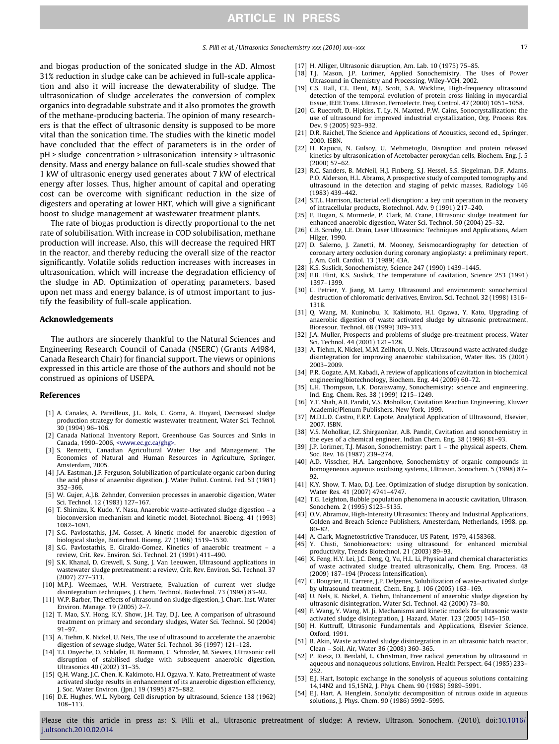S. Pilli et al. / Ultrasonics Sonochemistry xxx (2010) xxx–xxx 17

<span id="page-16-0"></span>and biogas production of the sonicated sludge in the AD. Almost 31% reduction in sludge cake can be achieved in full-scale application and also it will increase the dewaterability of sludge. The ultrasonication of sludge accelerates the conversion of complex organics into degradable substrate and it also promotes the growth of the methane-producing bacteria. The opinion of many researchers is that the effect of ultrasonic density is supposed to be more vital than the sonication time. The studies with the kinetic model have concluded that the effect of parameters is in the order of pH > sludge concentration > ultrasonication intensity > ultrasonic density. Mass and energy balance on full-scale studies showed that 1 kW of ultrasonic energy used generates about 7 kW of electrical energy after losses. Thus, higher amount of capital and operating cost can be overcome with significant reduction in the size of digesters and operating at lower HRT, which will give a significant boost to sludge management at wastewater treatment plants.

The rate of biogas production is directly proportional to the net rate of solubilisation. With increase in COD solubilisation, methane production will increase. Also, this will decrease the required HRT in the reactor, and thereby reducing the overall size of the reactor significantly. Volatile solids reduction increases with increases in ultrasonication, which will increase the degradation efficiency of the sludge in AD. Optimization of operating parameters, based upon net mass and energy balance, is of utmost important to justify the feasibility of full-scale application.

#### Acknowledgements

The authors are sincerely thankful to the Natural Sciences and Engineering Research Council of Canada (NSERC) (Grants A4984, Canada Research Chair) for financial support. The views or opinions expressed in this article are those of the authors and should not be construed as opinions of USEPA.

#### References

- [1] A. Canales, A. Pareilleux, J.L. Rols, C. Goma, A. Huyard, Decreased sludge production strategy for domestic wastewater treatment, Water Sci. Technol. 30 (1994) 96–106.
- [2] Canada National Inventory Report, Greenhouse Gas Sources and Sinks in Canada, 1990–2006, [<www.ec.gc.ca/ghg>.](http://www.ec.gc.ca/ghg)
- S. Renzetti, Canadian Agricultural Water Use and Management. The Economics of Natural and Human Resources in Agriculture, Springer, Amsterdam, 2005.
- [4] J.A. Eastman, J.F. Ferguson, Solubilization of particulate organic carbon during the acid phase of anaerobic digestion, J. Water Pollut. Control. Fed. 53 (1981) 352–366.
- W. Gujer, A.J.B. Zehnder, Conversion processes in anaerobic digestion, Water Sci. Technol. 12 (1983) 127–167.
- [6] T. Shimizu, K. Kudo, Y. Nasu, Anaerobic waste-activated sludge digestion a bioconversion mechanism and kinetic model, Biotechnol. Bioeng. 41 (1993) 1082–1091.
- [7] S.G. Pavlostathis, J.M. Gosset, A kinetic model for anaerobic digestion of biological sludge, Biotechnol. Bioeng. 27 (1986) 1519–1530.
- [8] S.G. Pavlostathis, E. Giraldo-Gomez, Kinetics of anaerobic treatment a review, Crit. Rev. Environ. Sci. Technol. 21 (1991) 411–490.
- [9] S.K. Khanal, D. Grewell, S. Sung, J. Van Leeuwen, Ultrasound applications in wastewater sludge pretreatment: a review, Crit. Rev. Environ. Sci. Technol. 37 (2007) 277–313.
- [10] M.P.J. Weemaes, W.H. Verstraete, Evaluation of current wet sludge disintegration techniques, J. Chem. Technol. Biotechnol. 73 (1998) 83–92.
- [11] W.P. Barber, The effects of ultrasound on sludge digestion, J. Chart. Inst. Water Environ. Manage. 19 (2005) 2–7.
- [12] T. Mao, S.Y. Hong, K.Y. Show, J.H. Tay, D.J. Lee, A comparison of ultrasound treatment on primary and secondary sludges, Water Sci. Technol. 50 (2004) 91–97.
- [13] A. Tiehm, K. Nickel, U. Neis, The use of ultrasound to accelerate the anaerobic digestion of sewage sludge, Water Sci. Technol. 36 (1997) 121–128.
- [14] T.I. Onyeche, O. Schlafer, H. Bormann, C. Schroder, M. Sievers, Ultrasonic cell disruption of stabilised sludge with subsequent anaerobic digestion, Ultrasonics 40 (2002) 31–35.
- Q.H. Wang, J.C. Chen, K. Kakimoto, H.I. Ogawa, Y. Kato, Pretreatment of waste activated sludge results in enhancement of its anaerobic digestion efficiency, J. Soc. Water Environ. (Jpn.) 19 (1995) 875–882.
- [16] D.E. Hughes, W.L. Nyborg, Cell disruption by ultrasound, Science 138 (1962) 108–113.
- [17] H. Alliger, Ultrasonic disruption, Am. Lab. 10 (1975) 75–85.
- [18] T.J. Mason, J.P. Lorimer, Applied Sonochemistry. The Uses of Power Ultrasound in Chemistry and Processing, Wiley-VCH, 2002.
- C.S. Hall, C.L. Dent, M.J. Scott, S.A. Wickline, High-frequency ultrasound detection of the temporal evolution of protein cross linking in myocardial tissue, IEEE Trans. Ultrason. Ferroelectr. Freq. Control. 47 (2000) 1051–1058.
- [20] G. Ruecroft, D. Hipkiss, T. Ly, N. Maxted, P.W. Cains, Sonocrystallization: the use of ultrasound for improved industrial crystallization, Org. Process Res. Dev. 9 (2005) 923–932.
- [21] D.R. Raichel, The Science and Applications of Acoustics, second ed., Springer, 2000. ISBN.
- [22] H. Kapucu, N. Gulsoy, U. Mehmetoglu, Disruption and protein released kinetics by ultrasonication of Acetobacter peroxydan cells, Biochem. Eng. J. 5 (2000) 57–62.
- [23] R.C. Sanders, B. McNeil, H.J. Finberg, S.J. Hessel, S.S. Siegelman, D.F. Adams, P.O. Alderson, H.L. Abrams, A prospective study of computed tomography and ultrasound in the detection and staging of pelvic masses, Radiology 146 (1983) 439–442.
- [24] S.T.L. Harrison, Bacterial cell disruption: a key unit operation in the recovery of intracellular products, Biotechnol. Adv. 9 (1991) 217–240.
- [25] F. Hogan, S. Mormede, P. Clark, M. Crane, Ultrasonic sludge treatment for enhanced anaerobic digestion, Water Sci. Technol. 50 (2004) 25–32.
- [26] C.B. Scruby, L.E. Drain, Laser Ultrasonics: Techniques and Applications, Adam Hilger, 1990.
- [27] D. Salerno, J. Zanetti, M. Mooney, Seismocardiography for detection of coronary artery occlusion during coronary angioplasty: a preliminary report, J. Am. Coll. Cardiol. 13 (1989) 43A.
- [28] K.S. Suslick, Sonochemistry, Science 247 (1990) 1439–1445.
- [29] E.B. Flint, K.S. Suslick, The temperature of cavitation, Science 253 (1991) 1397–1399.
- [30] C. Petrier, Y. Jiang, M. Lamy, Ultrasound and environment: sonochemical destruction of chloromatic derivatives, Environ. Sci. Technol. 32 (1998) 1316– 1318.
- [31] Q. Wang, M. Kuninobu, K. Kakimoto, H.I. Ogawa, Y. Kato, Upgrading of anaerobic digestion of waste activated sludge by ultrasonic pretreatment, Bioresour. Technol. 68 (1999) 309–313.
- [32] J.A. Muller, Prospects and problems of sludge pre-treatment process, Water Sci. Technol. 44 (2001) 121–128.
- [33] A. Tiehm, K. Nickel, M.M. Zellhorn, U. Neis, Ultrasound waste activated sludge disintegration for improving anaerobic stabilization, Water Res. 35 (2001) 2003–2009.
- [34] P.R. Gogate, A.M. Kabadi, A review of applications of cavitation in biochemical engineering/biotechnology, Biochem. Eng. 44 (2009) 60–72.
- [35] L.H. Thompson, L.K. Doraiswamy, Sonochemistry: science and engineering, Ind. Eng. Chem. Res. 38 (1999) 1215–1249.
- [36] Y.T. Shah, A.B. Pandit, V.S. Moholkar, Cavitation Reaction Engineering, Kluwer Academic/Plenum Publishers, New York, 1999.
- [37] M.D.L.D. Castro, F.R.P. Capote, Analytical Application of Ultrasound, Elsevier, 2007. ISBN.
- [38] V.S. Moholkar, I.Z. Shirgaonkar, A.B. Pandit, Cavitation and sonochemistry in the eyes of a chemical engineer, Indian Chem. Eng. 38 (1996) 81–93.
- [39] J.P. Lorimer, T.J. Mason, Sonochemistry: part 1 the physical aspects, Chem. Soc. Rev. 16 (1987) 239–274.
- [40] A.D. Visscher, H.A. Langenhove, Sonochemistry of organic compounds in homogeneous aqueous oxidising systems, Ultrason. Sonochem. 5 (1998) 87– 92.
- [41] K.Y. Show, T. Mao, D.J. Lee, Optimization of sludge disruption by sonication, Water Res. 41 (2007) 4741–4747.
- [42] T.G. Leighton, Bubble population phenomena in acoustic cavitation, Ultrason. Sonochem. 2 (1995) S123–S135.
- [43] O.V. Abramov, High-Intensity Ultrasonics: Theory and Industrial Applications, Golden and Breach Science Publishers, Amesterdam, Netherlands, 1998. pp. 80–82.
- [44] A. Clark, Magnetostrictive Transducer, US Patent, 1979, 4158368.
- [45] Y. Chisti, Sonobioreactors: using ultrasound for enhanced microbial productivity, Trends Biotechnol. 21 (2003) 89–93.
- [46] X. Feng, H.Y. Lei, J.C. Deng, Q. Yu, H.L. Li, Physical and chemical characteristics of waste activated sludge treated ultrasonically, Chem. Eng. Process. 48 (2009) 187–194 (Process Intensification).
- C. Bougrier, H. Carrere, J.P. Delgenes, Solubilization of waste-activated sludge by ultrasound treatment, Chem. Eng. J. 106 (2005) 163–169.
- [48] U. Nels, K. Nickel, A. Tiehm, Enhancement of anaerobic sludge digestion by ultrasonic disintegration, Water Sci. Technol. 42 (2000) 73–80.
- [49] F. Wang, Y. Wang, M. Ji, Mechanisms and kinetic models for ultrasonic waste activated sludge disintegration, J. Hazard. Mater. 123 (2005) 145–150.
- [50] H. Kuttruff, Ultrasonic Fundamentals and Applications, Elsevier Science, Oxford, 1991.
- [51] B. Akin, Waste activated sludge disintegration in an ultrasonic batch reactor, Clean – Soil, Air, Water 36 (2008) 360–365.
- [52] P. Riesz, D. Berdahl, L. Christman, Free radical generation by ultrasound in aqueous and nonaqueous solutions, Environ. Health Perspect. 64 (1985) 233– 252.
- [53] E.J. Hart, Isotopic exchange in the sonolysis of aqueous solutions containing 14,14N2 and 15,15N2, J. Phys. Chem. 90 (1986) 5989–5991.
- [54] E.J. Hart, A. Henglein, Sonolytic decomposition of nitrous oxide in aqueous solutions, J. Phys. Chem. 90 (1986) 5992–5995.